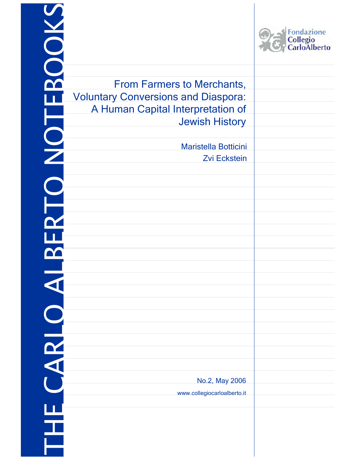| BOOK       |                                             | <b>Fondazione</b><br>Collegio<br>CarloAlberto |
|------------|---------------------------------------------|-----------------------------------------------|
|            | <b>From Farmers to Merchants,</b>           |                                               |
|            | <b>Voluntary Conversions and Diaspora:</b>  |                                               |
|            | A Human Capital Interpretation of           |                                               |
|            | <b>Jewish History</b>                       |                                               |
|            |                                             |                                               |
|            | Maristella Botticini<br><b>Zvi Eckstein</b> |                                               |
|            |                                             |                                               |
| <b>SOL</b> |                                             |                                               |
|            |                                             |                                               |
|            |                                             |                                               |
|            |                                             |                                               |
|            |                                             |                                               |
|            |                                             |                                               |
|            |                                             |                                               |
|            |                                             |                                               |
|            |                                             |                                               |
|            |                                             |                                               |
|            |                                             |                                               |
| <b>ARL</b> |                                             |                                               |
|            |                                             |                                               |
|            |                                             |                                               |
|            | No.2, May 2006                              |                                               |
|            | www.collegiocarloalberto.it                 |                                               |
|            |                                             |                                               |
| Ţ          |                                             |                                               |
|            |                                             |                                               |
|            |                                             |                                               |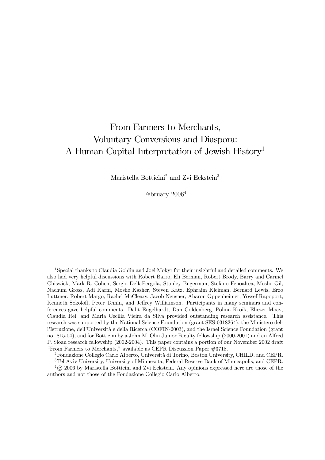# From Farmers to Merchants, Voluntary Conversions and Diaspora: A Human Capital Interpretation of Jewish History1

Maristella Botticini<sup>2</sup> and Zvi Eckstein<sup>3</sup>

February 2006<sup>4</sup>

<sup>1</sup>Special thanks to Claudia Goldin and Joel Mokyr for their insightful and detailed comments. We also had very helpful discussions with Robert Barro, Eli Berman, Robert Brody, Barry and Carmel Chiswick, Mark R. Cohen, Sergio DellaPergola, Stanley Engerman, Stefano Fenoaltea, Moshe Gil, Nachum Gross, Adi Karni, Moshe Kasher, Steven Katz, Ephraim Kleiman, Bernard Lewis, Erzo Luttmer, Robert Margo, Rachel McCleary, Jacob Neusner, Aharon Oppenheimer, Yossef Rapoport, Kenneth Sokoloff, Peter Temin, and Jeffrey Williamson. Participants in many seminars and conferences gave helpful comments. Dalit Engelhardt, Dan Goldenberg, Polina Kroik, Eliezer Moav, Claudia Rei, and Maria Cecilia Vieira da Silva provided outstanding research assistance. This research was supported by the National Science Foundation (grant SES-0318364), the Ministero dell'Istruzione, dell'Università e della Ricerca (COFIN-2003), and the Israel Science Foundation (grant no. 815-04), and for Botticini by a John M. Olin Junior Faculty fellowship (2000-2001) and an Alfred P. Sloan research fellowship (2002-2004). This paper contains a portion of our November 2002 draft "From Farmers to Merchants," available as CEPR Discussion Paper #3718.

2Fondazione Collegio Carlo Alberto, Università di Torino, Boston University, CHILD, and CEPR.

3Tel Aviv University, University of Minnesota, Federal Reserve Bank of Minneapolis, and CEPR.  $^{4}$  $\odot$  2006 by Maristella Botticini and Zvi Eckstein. Any opinions expressed here are those of the authors and not those of the Fondazione Collegio Carlo Alberto.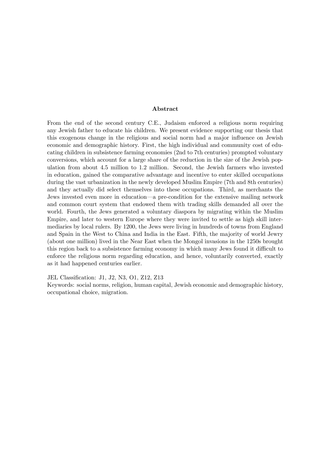#### Abstract

From the end of the second century C.E., Judaism enforced a religious norm requiring any Jewish father to educate his children. We present evidence supporting our thesis that this exogenous change in the religious and social norm had a major influence on Jewish economic and demographic history. First, the high individual and community cost of educating children in subsistence farming economies (2nd to 7th centuries) prompted voluntary conversions, which account for a large share of the reduction in the size of the Jewish population from about 4.5 million to 1.2 million. Second, the Jewish farmers who invested in education, gained the comparative advantage and incentive to enter skilled occupations during the vast urbanization in the newly developed Muslim Empire (7th and 8th centuries) and they actually did select themselves into these occupations. Third, as merchants the Jews invested even more in education–a pre-condition for the extensive mailing network and common court system that endowed them with trading skills demanded all over the world. Fourth, the Jews generated a voluntary diaspora by migrating within the Muslim Empire, and later to western Europe where they were invited to settle as high skill intermediaries by local rulers. By 1200, the Jews were living in hundreds of towns from England and Spain in the West to China and India in the East. Fifth, the majority of world Jewry (about one million) lived in the Near East when the Mongol invasions in the 1250s brought this region back to a subsistence farming economy in which many Jews found it difficult to enforce the religious norm regarding education, and hence, voluntarily converted, exactly as it had happened centuries earlier.

JEL Classification: J1, J2, N3, O1, Z12, Z13

Keywords: social norms, religion, human capital, Jewish economic and demographic history, occupational choice, migration.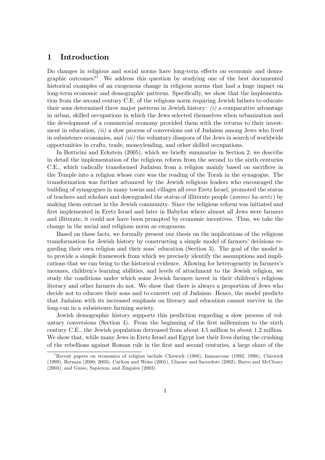#### 1 Introduction

Do changes in religious and social norms have long-term effects on economic and demographic outcomes?<sup>1</sup> We address this question by studying one of the best documented historical examples of an exogenous change in religious norms that had a huge impact on long-term economic and demographic patterns. Specifically, we show that the implementation from the second century C.E. of the religious norm requiring Jewish fathers to educate their sons determined three major patterns in Jewish history:  $(i)$  a comparative advantage in urban, skilled occupations in which the Jews selected themselves when urbanization and the development of a commercial economy provided them with the returns to their investment in education,  $(ii)$  a slow process of conversions out of Judaism among Jews who lived in subsistence economies, and (iii) the voluntary diaspora of the Jews in search of worldwide opportunities in crafts, trade, moneylending, and other skilled occupations.

In Botticini and Eckstein (2005), which we briefly summarize in Section 2, we describe in detail the implementation of the religious reform from the second to the sixth centuries C.E., which radically transformed Judaism from a religion mainly based on sacrifices in the Temple into a religion whose core was the reading of the Torah in the synagogue. The transformation was further advanced by the Jewish religious leaders who encouraged the building of synagogues in many towns and villages all over Eretz Israel, promoted the status of teachers and scholars and downgraded the status of illiterate people (ammei ha-aretz ) by making them outcast in the Jewish community. Since the religious reform was initiated and first implemented in Eretz Israel and later in Babylon where almost all Jews were farmers and illiterate, it could not have been prompted by economic incentives. Thus, we take the change in the social and religious norm as exogenous.

Based on these facts, we formally present our thesis on the implications of the religious transformation for Jewish history by constructing a simple model of farmers' decisions regarding their own religion and their sons' education (Section 3). The goal of the model is to provide a simple framework from which we precisely identify the assumptions and implications that we can bring to the historical evidence. Allowing for heterogeneity in farmers's incomes, children's learning abilities, and levels of attachment to the Jewish religion, we study the conditions under which some Jewish farmers invest in their children's religious literacy and other farmers do not. We show that there is always a proportion of Jews who decide not to educate their sons and to convert out of Judaism. Hence, the model predicts that Judaism with its increased emphasis on literacy and education cannot survive in the long-run in a subsistence farming society.

Jewish demographic history supports this prediction regarding a slow process of voluntary conversions (Section 4). From the beginning of the first millennium to the sixth century C.E., the Jewish population decreased from about 4.5 million to about 1.2 million. We show that, while many Jews in Eretz Israel and Egypt lost their lives during the crushing of the rebellions against Roman rule in the first and second centuries, a large share of the

<sup>&</sup>lt;sup>1</sup>Recent papers on economics of religion include Chiswick (1988), Iannaccone (1992; 1998), Chiswick (1999), Berman (2000; 2003), Carlton and Weiss (2001), Glaeser and Sacerdote (2002), Barro and McCleary (2003), and Guiso, Sapienza, and Zingales (2003).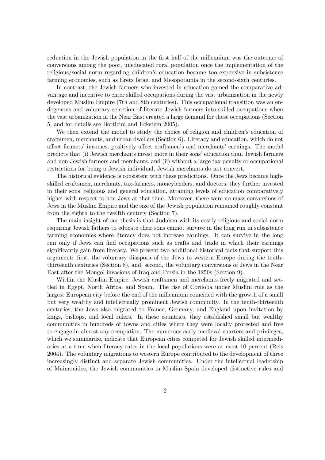reduction in the Jewish population in the first half of the millennium was the outcome of conversions among the poor, uneducated rural population once the implementation of the religious/social norm regarding children's education became too expensive in subsistence farming economies, such as Eretz Israel and Mesopotamia in the second-sixth centuries.

In contrast, the Jewish farmers who invested in education gained the comparative advantage and incentive to enter skilled occupations during the vast urbanization in the newly developed Muslim Empire (7th and 8th centuries). This occupational transition was an endogenous and voluntary selection of literate Jewish farmers into skilled occupations when the vast urbanization in the Near East created a large demand for these occupations (Section 5, and for details see Botticini and Eckstein 2005).

We then extend the model to study the choice of religion and children's education of craftsmen, merchants, and urban dwellers (Section 6). Literacy and education, which do not affect farmers' incomes, positively affect craftsmen's and merchants' earnings. The model predicts that (i) Jewish merchants invest more in their sons' education than Jewish farmers and non-Jewish farmers and merchants, and (ii) without a large tax penalty or occupational restrictions for being a Jewish individual, Jewish merchants do not convert.

The historical evidence is consistent with these predictions. Once the Jews became highskilled craftsmen, merchants, tax-farmers, moneylenders, and doctors, they further invested in their sons' religious and general education, attaining levels of education comparatively higher with respect to non-Jews at that time. Moreover, there were no mass conversions of Jews in the Muslim Empire and the size of the Jewish population remained roughly constant from the eighth to the twelfth century (Section 7).

The main insight of our thesis is that Judaism with its costly religious and social norm requiring Jewish fathers to educate their sons cannot survive in the long run in subsistence farming economies where literacy does not increase earnings. It can survive in the long run only if Jews can find occupations such as crafts and trade in which their earnings significantly gain from literacy. We present two additional historical facts that support this argument: first, the voluntary diaspora of the Jews to western Europe during the tenththirteenth centuries (Section 8), and, second, the voluntary conversions of Jews in the Near East after the Mongol invasions of Iraq and Persia in the 1250s (Section 9).

Within the Muslim Empire, Jewish craftsmen and merchants freely migrated and settled in Egypt, North Africa, and Spain. The rise of Cordoba under Muslim rule as the largest European city before the end of the millennium coincided with the growth of a small but very wealthy and intellectually prominent Jewish community. In the tenth-thirteenth centuries, the Jews also migrated to France, Germany, and England upon invitation by kings, bishops, and local rulers. In these countries, they established small but wealthy communities in hundreds of towns and cities where they were locally protected and free to engage in almost any occupation. The numerous early medieval charters and privileges, which we summarize, indicate that European cities competed for Jewish skilled intermediaries at a time when literacy rates in the local populations were at most 10 percent (Reis 2004). The voluntary migrations to western Europe contributed to the development of three increasingly distinct and separate Jewish communities. Under the intellectual leadership of Maimonides, the Jewish communities in Muslim Spain developed distinctive rules and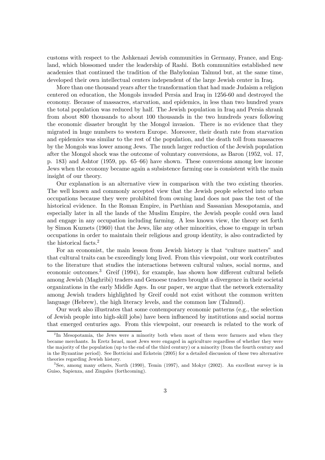customs with respect to the Ashkenazi Jewish communities in Germany, France, and England, which blossomed under the leadership of Rashi. Both communities established new academies that continued the tradition of the Babylonian Talmud but, at the same time, developed their own intellectual centers independent of the large Jewish center in Iraq.

More than one thousand years after the transformation that had made Judaism a religion centered on education, the Mongols invaded Persia and Iraq in 1256-60 and destroyed the economy. Because of massacres, starvation, and epidemics, in less than two hundred years the total population was reduced by half. The Jewish population in Iraq and Persia shrank from about 800 thousands to about 100 thousands in the two hundreds years following the economic disaster brought by the Mongol invasion. There is no evidence that they migrated in huge numbers to western Europe. Moreover, their death rate from starvation and epidemics was similar to the rest of the population, and the death toll from massacres by the Mongols was lower among Jews. The much larger reduction of the Jewish population after the Mongol shock was the outcome of voluntary conversions, as Baron (1952, vol. 17, p. 183) and Ashtor (1959, pp. 65—66) have shown. These conversions among low income Jews when the economy became again a subsistence farming one is consistent with the main insight of our theory.

Our explanation is an alternative view in comparison with the two existing theories. The well known and commonly accepted view that the Jewish people selected into urban occupations because they were prohibited from owning land does not pass the test of the historical evidence. In the Roman Empire, in Parthian and Sassanian Mesopotamia, and especially later in all the lands of the Muslim Empire, the Jewish people could own land and engage in any occupation including farming. A less known view, the theory set forth by Simon Kuznets (1960) that the Jews, like any other minorities, chose to engage in urban occupations in order to maintain their religious and group identity, is also contradicted by the historical facts.2

For an economist, the main lesson from Jewish history is that "culture matters" and that cultural traits can be exceedingly long lived. From this viewpoint, our work contributes to the literature that studies the interactions between cultural values, social norms, and economic outcomes.3 Greif (1994), for example, has shown how different cultural beliefs among Jewish (Maghribi) traders and Genoese traders brought a divergence in their societal organizations in the early Middle Ages. In our paper, we argue that the network externality among Jewish traders highlighted by Greif could not exist without the common written language (Hebrew), the high literacy levels, and the common law (Talmud).

Our work also illustrates that some contemporary economic patterns (e.g., the selection of Jewish people into high-skill jobs) have been influenced by institutions and social norms that emerged centuries ago. From this viewpoint, our research is related to the work of

<sup>&</sup>lt;sup>2</sup>In Mesopotamia, the Jews were a minority both when most of them were farmers and when they became merchants. In Eretz Israel, most Jews were engaged in agriculture regardless of whether they were the majority of the population (up to the end of the third century) or a minority (from the fourth century and in the Byzantine period). See Botticini and Eckstein (2005) for a detailed discussion of these two alternative theories regarding Jewish history.

<sup>3</sup>See, among many others, North (1990), Temin (1997), and Mokyr (2002). An excellent survey is in Guiso, Sapienza, and Zingales (forthcoming).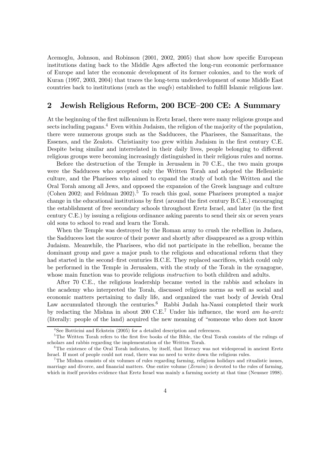Acemoglu, Johnson, and Robinson (2001, 2002, 2005) that show how specific European institutions dating back to the Middle Ages affected the long-run economic performance of Europe and later the economic development of its former colonies, and to the work of Kuran (1997, 2003, 2004) that traces the long-term underdevelopment of some Middle East countries back to institutions (such as the waqfs) established to fulfill Islamic religious law.

### 2 Jewish Religious Reform, 200 BCE—200 CE: A Summary

At the beginning of the first millennium in Eretz Israel, there were many religious groups and sects including pagans.<sup>4</sup> Even within Judaism, the religion of the majority of the population. there were numerous groups such as the Sadducees, the Pharisees, the Samaritans, the Essenes, and the Zealots. Christianity too grew within Judaism in the first century C.E. Despite being similar and interrelated in their daily lives, people belonging to different religious groups were becoming increasingly distinguished in their religious rules and norms.

Before the destruction of the Temple in Jerusalem in 70 C.E., the two main groups were the Sadducees who accepted only the Written Torah and adopted the Hellenistic culture, and the Pharisees who aimed to expand the study of both the Written and the Oral Torah among all Jews, and opposed the expansion of the Greek language and culture (Cohen 2002; and Feldman 2002).<sup>5</sup> To reach this goal, some Pharisees prompted a major change in the educational institutions by first (around the first century B.C.E.) encouraging the establishment of free secondary schools throughout Eretz Israel, and later (in the first century C.E.) by issuing a religious ordinance asking parents to send their six or seven years old sons to school to read and learn the Torah.

When the Temple was destroyed by the Roman army to crush the rebellion in Judaea, the Sadducees lost the source of their power and shortly after disappeared as a group within Judaism. Meanwhile, the Pharisees, who did not participate in the rebellion, became the dominant group and gave a major push to the religious and educational reform that they had started in the second–first centuries B.C.E. They replaced sacrifices, which could only be performed in the Temple in Jerusalem, with the study of the Torah in the synagogue, whose main function was to provide religious *instruction* to both children and adults.

After 70 C.E., the religious leadership became vested in the rabbis and scholars in the academy who interpreted the Torah, discussed religious norms as well as social and economic matters pertaining to daily life, and organized the vast body of Jewish Oral Law accumulated through the centuries.<sup>6</sup> Rabbi Judah ha-Nassi completed their work by redacting the Mishna in about 200 C.E.7 Under his influence, the word am ha-aretz (literally: people of the land) acquired the new meaning of "someone who does not know

<sup>&</sup>lt;sup>4</sup>See Botticini and Eckstein (2005) for a detailed description and references.

<sup>&</sup>lt;sup>5</sup>The Written Torah refers to the first five books of the Bible, the Oral Torah consists of the rulings of scholars and rabbis regarding the implementation of the Written Torah.

<sup>&</sup>lt;sup>6</sup>The existence of the Oral Torah indicates, by itself, that literacy was not widespread in ancient Eretz Israel. If most of people could not read, there was no need to write down the religious rules.

<sup>&</sup>lt;sup>7</sup>The Mishna consists of six volumes of rules regarding farming, religious holidays and ritualistic issues, marriage and divorce, and financial matters. One entire volume  $(Zeraim)$  is devoted to the rules of farming, which in itself provides evidence that Eretz Israel was mainly a farming society at that time (Neusner 1998).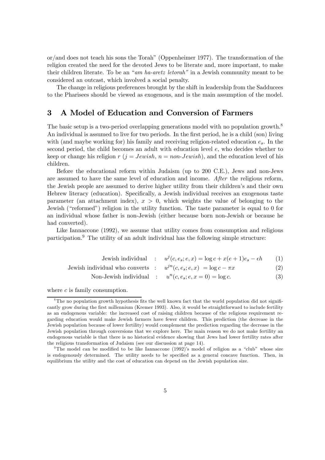or/and does not teach his sons the Torah" (Oppenheimer 1977). The transformation of the religion created the need for the devoted Jews to be literate and, more important, to make their children literate. To be an "am ha-aretz letorah" in a Jewish community meant to be considered an outcast, which involved a social penalty.

The change in religious preferences brought by the shift in leadership from the Sadducees to the Pharisees should be viewed as exogenous, and is the main assumption of the model.

#### 3 A Model of Education and Conversion of Farmers

The basic setup is a two-period overlapping generations model with no population growth.<sup>8</sup> An individual is assumed to live for two periods. In the first period, he is a child (son) living with (and maybe working for) his family and receiving religion-related education  $e_s$ . In the second period, the child becomes an adult with education level e, who decides whether to keep or change his religion r  $(j = Jewish, n = non-Jewish)$ , and the education level of his children.

Before the educational reform within Judaism (up to 200 C.E.), Jews and non-Jews are assumed to have the same level of education and income. After the religious reform, the Jewish people are assumed to derive higher utility from their children's and their own Hebrew literacy (education). Specifically, a Jewish individual receives an exogenous taste parameter (an attachment index),  $x > 0$ , which weights the value of belonging to the Jewish ("reformed") religion in the utility function. The taste parameter is equal to 0 for an individual whose father is non-Jewish (either because born non-Jewish or because he had converted).

Like Iannaccone (1992), we assume that utility comes from consumption and religious participation.<sup>9</sup> The utility of an adult individual has the following simple structure:

Jewish individual : 
$$
u^j(c, e_s; e, x) = \log c + x(e+1)e_s - \epsilon h
$$
 (1)

Jewish individual who converts : 
$$
u^{jn}(c, e_s; e, x) = \log c - \pi x
$$
 (2)

Non-Jewish individual : 
$$
u^n(c, e_s; e, x = 0) = \log c.
$$
 (3)

where c is family consumption.

<sup>&</sup>lt;sup>8</sup>The no population growth hypothesis fits the well known fact that the world population did not significantly grow during the first millennium (Kremer 1993). Also, it would be straightforward to include fertility as an endogenous variable: the increased cost of raising children because of the religious requirement regarding education would make Jewish farmers have fewer children. This prediction (the decrease in the Jewish population because of lower fertility) would complement the prediction regarding the decrease in the Jewish population through conversions that we explore here. The main reason we do not make fertility an endogenous variable is that there is no historical evidence showing that Jews had lower fertility rates after the religious transformation of Judaism (see our discussion at page 14).

<sup>&</sup>lt;sup>9</sup>The model can be modified to be like Iannaccone (1992)'s model of religion as a "club" whose size is endogenously determined. The utility needs to be specified as a general concave function. Then, in equilibrium the utility and the cost of education can depend on the Jewish population size.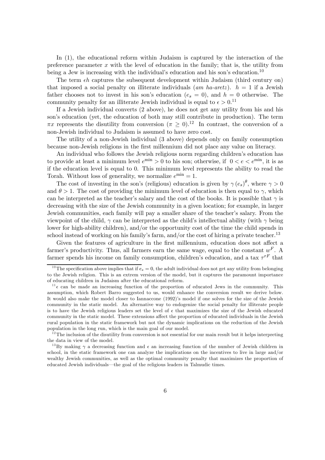In (1), the educational reform within Judaism is captured by the interaction of the preference parameter  $x$  with the level of education in the family; that is, the utility from being a Jew is increasing with the individual's education and his son's education.<sup>10</sup>

The term  $\epsilon h$  captures the subsequent development within Judaism (third century on) that imposed a social penalty on illiterate individuals (am ha-aretz).  $h = 1$  if a Jewish father chooses not to invest in his son's education  $(e_s = 0)$ , and  $h = 0$  otherwise. The community penalty for an illiterate Jewish individual is equal to  $\epsilon > 0$ .<sup>11</sup>

If a Jewish individual converts (2 above), he does not get any utility from his and his son's education (yet, the education of both may still contribute in production). The term  $\pi x$  represents the disutility from conversion  $(\pi \geq 0).^{12}$  In contrast, the conversion of a non-Jewish individual to Judaism is assumed to have zero cost.

The utility of a non-Jewish individual (3 above) depends only on family consumption because non-Jewish religions in the first millennium did not place any value on literacy.

An individual who follows the Jewish religious norm regarding children's education has to provide at least a minimum level  $e^{\min} > 0$  to his son; otherwise, if  $0 < e < e^{\min}$ , it is as if the education level is equal to 0. This minimum level represents the ability to read the Torah. Without loss of generality, we normalize  $e^{\min} = 1$ .

The cost of investing in the son's (religious) education is given by  $\gamma(e_s)^\theta$ , where  $\gamma > 0$ and  $\theta > 1$ . The cost of providing the minimum level of education is then equal to  $\gamma$ , which can be interpreted as the teacher's salary and the cost of the books. It is possible that  $\gamma$  is decreasing with the size of the Jewish community in a given location; for example, in larger Jewish communities, each family will pay a smaller share of the teacher's salary. From the viewpoint of the child,  $\gamma$  can be interpreted as the child's intellectual ability (with  $\gamma$  being lower for high-ability children), and/or the opportunity cost of the time the child spends in school instead of working on his family's farm, and/or the cost of hiring a private teacher.<sup>13</sup>

Given the features of agriculture in the first millennium, education does not affect a farmer's productivity. Thus, all farmers earn the same wage, equal to the constant  $w^F$ . A farmer spends his income on family consumption, children's education, and a tax  $\tau^{rF}$  that

<sup>&</sup>lt;sup>10</sup>The specification above implies that if  $e_s = 0$ , the adult individual does not get any utility from belonging to the Jewish religion. This is an extrem version of the model, but it captures the paramount importance of educating children in Judaism after the educational reform.

<sup>&</sup>lt;sup>11</sup> $\epsilon$  can be made an increasing function of the proportion of educated Jews in the community. This assumption, which Robert Barro suggested to us, would enhance the conversion result we derive below. It would also make the model closer to Iannaccone (1992)'s model if one solves for the size of the Jewish community in the static model. An alternative way to endogenize the social penalty for illiterate people is to have the Jewish religious leaders set the level of  $\epsilon$  that maximizes the size of the Jewish educated community in the static model. These extensions affect the proportion of educated individuals in the Jewish rural population in the static framework but not the dynamic implications on the reduction of the Jewish population in the long run, which is the main goal of our model.

 $12$ The inclusion of the disutility from conversion is not essential for our main result but it helps interpreting the data in view of the model.

<sup>&</sup>lt;sup>13</sup>By making  $\gamma$  a decreasing function and  $\epsilon$  an increasing function of the number of Jewish children in school, in the static framework one can analyze the implications on the incentives to live in large and/or wealthy Jewish communities, as well as the optimal community penalty that maximizes the proportion of educated Jewish individuals–the goal of the religious leaders in Talmudic times.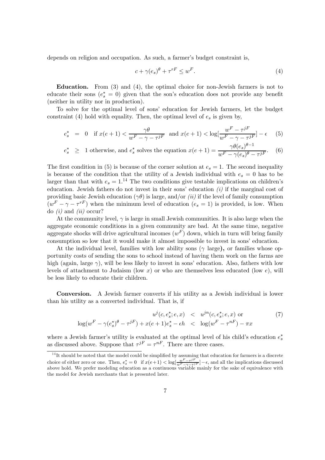depends on religion and occupation. As such, a farmer's budget constraint is,

$$
c + \gamma(e_s)^{\theta} + \tau^{rF} \le w^F. \tag{4}
$$

Education. From (3) and (4), the optimal choice for non-Jewish farmers is not to educate their sons  $(e^*_s = 0)$  given that the son's education does not provide any benefit (neither in utility nor in production).

To solve for the optimal level of sons' education for Jewish farmers, let the budget constraint (4) hold with equality. Then, the optimal level of  $e_s$  is given by,

$$
e_s^* = 0 \quad \text{if } x(e+1) < \frac{\gamma \theta}{w^F - \gamma - \tau^{jF}} \text{ and } x(e+1) < \log[\frac{w^F - \tau^{jF}}{w^F - \gamma - \tau^{jF}}] - \epsilon \tag{5}
$$

$$
e_s^* \geq 1
$$
 otherwise, and  $e_s^*$  solves the equation  $x(e+1) = \frac{\gamma \theta(e_s)^{\theta-1}}{w^F - \gamma(e_s)^{\theta} - \tau^{jF}}$ . (6)

The first condition in (5) is because of the corner solution at  $e_s = 1$ . The second inequality is because of the condition that the utility of a Jewish individual with  $e_s = 0$  has to be larger than that with  $e_s = 1.^{14}$  The two conditions give testable implications on children's education. Jewish fathers do not invest in their sons' education  $(i)$  if the marginal cost of providing basic Jewish education ( $\gamma\theta$ ) is large, and/or *(ii)* if the level of family consumption  $(w<sup>F</sup> - \gamma - \tau<sup>rF</sup>)$  when the minimum level of education  $(e_s = 1)$  is provided, is low. When do  $(i)$  and  $(ii)$  occur?

At the community level,  $\gamma$  is large in small Jewish communities. It is also large when the aggregate economic conditions in a given community are bad. At the same time, negative aggregate shocks will drive agricultural incomes  $(w^F)$  down, which in turn will bring family consumption so low that it would make it almost impossible to invest in sons' education.

At the individual level, families with low ability sons ( $\gamma$  large), or families whose opportunity costs of sending the sons to school instead of having them work on the farms are high (again, large  $\gamma$ ), will be less likely to invest in sons' education. Also, fathers with low levels of attachment to Judaism (low x) or who are themselves less educated (low  $e$ ), will be less likely to educate their children.

Conversion. A Jewish farmer converts if his utility as a Jewish individual is lower than his utility as a converted individual. That is, if

$$
u^{j}(c, e_{s}^{*}; e, x) < u^{jn}(c, e_{s}^{*}; e, x) \text{ or } (7)
$$
\n
$$
\log(w^{F} - \gamma(e_{s}^{*})^{\theta} - \tau^{jF}) + x(e+1)e_{s}^{*} - \epsilon h < \log(w^{F} - \tau^{nF}) - \pi x
$$

where a Jewish farmer's utility is evaluated at the optimal level of his child's education  $e_s^*$ as discussed above. Suppose that  $\tau^{jF} = \tau^{nF}$ . There are three cases.

<sup>&</sup>lt;sup>14</sup>It should be noted that the model could be simplified by assuming that education for farmers is a discrete choice of either zero or one. Then,  $e_s^* = 0$  if  $x(e+1) < \log[\frac{w^F - \tau^{jF}}{w^F - \gamma - \tau^{jF}}] - \epsilon$ , and all the implications discussed above hold. We prefer modeling education as a continuous variable mainly for the sake of equiv the model for Jewish merchants that is presented later.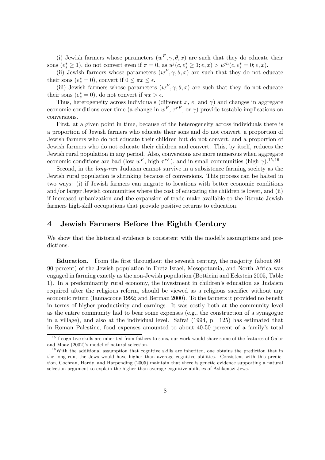(i) Jewish farmers whose parameters  $(w^F, \gamma, \theta, x)$  are such that they do educate their sons  $(e_s^* \ge 1)$ , do not convert even if  $\pi = 0$ , as  $u^j(c, e_s^* \ge 1; e, x) > u^{jn}(c, e_s^* = 0; e, x)$ .

(ii) Jewish farmers whose parameters  $(w^F, \gamma, \theta, x)$  are such that they do not educate their sons  $(e_s^* = 0)$ , convert if  $0 \leq \pi x \leq \epsilon$ .

(iii) Jewish farmers whose parameters  $(w^F, \gamma, \theta, x)$  are such that they do not educate their sons  $(e_s^* = 0)$ , do not convert if  $\pi x > \epsilon$ .

Thus, heterogeneity across individuals (different x, e, and  $\gamma$ ) and changes in aggregate economic conditions over time (a change in  $w^F$ ,  $\tau^{rF}$ , or  $\gamma$ ) provide testable implications on conversions.

First, at a given point in time, because of the heterogeneity across individuals there is a proportion of Jewish farmers who educate their sons and do not convert, a proportion of Jewish farmers who do not educate their children but do not convert, and a proportion of Jewish farmers who do not educate their children and convert. This, by itself, reduces the Jewish rural population in any period. Also, conversions are more numerous when aggregate economic conditions are bad (low  $w^F$ , high  $\tau^{rF}$ ), and in small communities (high  $\gamma$ ).<sup>15,16</sup>

Second, in the *long-run* Judaism cannot survive in a subsistence farming society as the Jewish rural population is shrinking because of conversions. This process can be halted in two ways: (i) if Jewish farmers can migrate to locations with better economic conditions and/or larger Jewish communities where the cost of educating the children is lower, and (ii) if increased urbanization and the expansion of trade make available to the literate Jewish farmers high-skill occupations that provide positive returns to education.

#### 4 Jewish Farmers Before the Eighth Century

We show that the historical evidence is consistent with the model's assumptions and predictions.

Education. From the first throughout the seventh century, the majority (about 80— 90 percent) of the Jewish population in Eretz Israel, Mesopotamia, and North Africa was engaged in farming exactly as the non-Jewish population (Botticini and Eckstein 2005, Table 1). In a predominantly rural economy, the investment in children's education as Judaism required after the religious reform, should be viewed as a religious sacrifice without any economic return (Iannaccone 1992; and Berman 2000). To the farmers it provided no benefit in terms of higher productivity and earnings. It was costly both at the community level as the entire community had to bear some expenses (e.g., the construction of a synagogue in a village), and also at the individual level. Safrai (1994, p. 125) has estimated that in Roman Palestine, food expenses amounted to about 40-50 percent of a family's total

<sup>&</sup>lt;sup>15</sup> If cognitive skills are inherited from fathers to sons, our work would share some of the features of Galor and Moav (2002)'s model of natural selection.

 $16$ With the additional assumption that cognitive skills are inherited, one obtains the prediction that in the long run, the Jews would have higher than average cognitive abilities. Consistent with this prediction, Cochran, Hardy, and Harpending (2005) maintain that there is genetic evidence supporting a natural selection argument to explain the higher than average cognitive abilities of Ashkenazi Jews.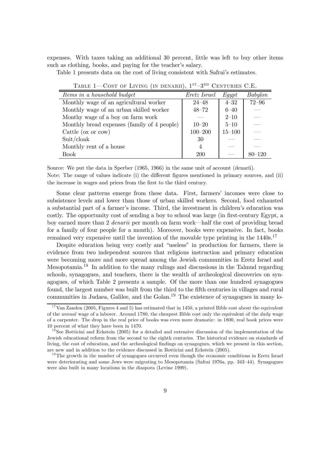expenses. With taxes taking an additional 30 percent, little was left to buy other items such as clothing, books, and paying for the teacher's salary.

Table 1 presents data on the cost of living consistent with Safrai's estimates.

| Items in a household budget                 | Eretz Israel   | $E$ <i>aypt</i> | Babylon                  |
|---------------------------------------------|----------------|-----------------|--------------------------|
| Monthly wage of an agricultural worker      | $24 - 48$      | $4 - 32$        | $72 - 96$                |
| Monthly wage of an urban skilled worker     | $48 - 72$      | $6 - 40$        |                          |
| Monthy wage of a boy on farm work           |                | $2 - 10$        | --                       |
| Monthly bread expenses (family of 4 people) | $10 - 20$      | $5 - 10$        | $\overline{\phantom{a}}$ |
| Cattle ( $\alpha$ or $\alpha$ )             | $100 - 200$    | $15 - 100$      |                          |
| Suit/clock                                  | 30             |                 |                          |
| Monthly rent of a house                     | $\overline{4}$ |                 |                          |
| <b>Book</b>                                 | <b>200</b>     |                 | $80 - 120$               |

TABLE 1–COST OF LIVING (IN DENARII),  $1^{ST}-3^{RD}$  CENTURIES C.E.

Source: We put the data in Sperber (1965, 1966) in the same unit of account (denarii). Note: The range of values indicate (i) the different figures mentioned in primary sources, and (ii) the increase in wages and prices from the first to the third century.

Some clear patterns emerge from these data. First, farmers' incomes were close to subsistence levels and lower than those of urban skilled workers. Second, food exhausted a substantial part of a farmer's income. Third, the investment in children's education was costly. The opportunity cost of sending a boy to school was large (in first-century Egypt, a boy earned more than 2 denarii per month on farm work–half the cost of providing bread for a family of four people for a month). Moreover, books were expensive. In fact, books remained very expensive until the invention of the movable type printing in the  $1440s$ .<sup>17</sup>

Despite education being very costly and "useless" in production for farmers, there is evidence from two independent sources that religious instruction and primary education were becoming more and more spread among the Jewish communities in Eretz Israel and Mesopotamia.18 In addition to the many rulings and discussions in the Talmud regarding schools, synagogues, and teachers, there is the wealth of archeological discoveries on synagogues, of which Table 2 presents a sample. Of the more than one hundred synagogues found, the largest number was built from the third to the fifth centuries in villages and rural communities in Judaea, Galilee, and the Golan.<sup>19</sup> The existence of synagogues in many lo-

 $17$ Van Zanden (2005, Figures 4 and 5) has estimated that in 1450, a printed Bible cost about the equivalent of the annual wage of a laborer. Around 1780, the cheapest Bible cost only the equivalent of the daily wage of a carpenter. The drop in the real price of books was even more dramatic: in 1800, real book prices were 10 percent of what they have been in 1470.

 $1<sup>8</sup>$ See Botticini and Eckstein (2005) for a detailed and extensive discussion of the implementation of the Jewish educational reform from the second to the eighth centuries. The historical evidence on standards of living, the cost of education, and the archeological findings on synagogues, which we present in this section, are new and in addition to the evidence discussed in Botticini and Eckstein (2005).

<sup>&</sup>lt;sup>19</sup>The growth in the number of synagogues occurred even though the economic conditions in Eretz Israel were deteriorating and some Jews were migrating to Mesopotamia (Safrai 1976a, pp. 343—44). Synagogues were also built in many locations in the diaspora (Levine 1999).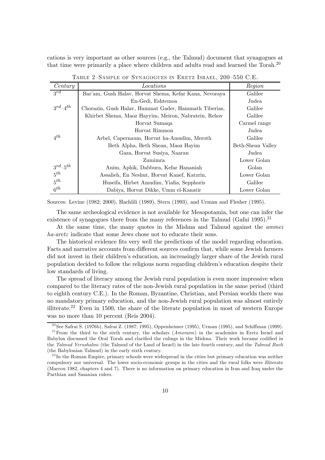cations is very important as other sources (e.g., the Talmud) document that synagogues at that time were primarily a place where children and adults read and learned the Torah.20

| Century                   | Locations                                              | Region            |
|---------------------------|--------------------------------------------------------|-------------------|
| $3^{rd}$                  | Bar'am, Gush Halav, Horvat Shema, Kefar Kana, Nevoraya | Galilee           |
|                           | En-Gedi, Eshtemoa                                      | Judea             |
| $3^{rd}$ –4 <sup>th</sup> | Chorazin, Gush Halav, Hammat Gader, Hammath Tiberias,  | Galilee           |
|                           | Khirbet Shema, Maoz Hayyim, Meiron, Nabratein, Rehov   | Galilee           |
|                           | Horvat Sumaqa                                          | Carmel range      |
|                           | Horvat Rimmon                                          | Judea             |
| $4^{th}$                  | Arbel, Capernaum, Horvat ha-Amudim, Meroth             | Galilee           |
|                           | Beth Alpha, Beth Shean, Maoz Hayim                     | Beth-Shean Valley |
|                           | Gaza, Horvat Susiya, Naaran                            | Judea             |
|                           | Zumimra                                                | Lower Golan       |
| $3^{rd} - 5^{th}$         | Anim, Aphik, Dabbura, Kefar Hananiah                   | Golan             |
| $5^{th}$                  | Assalieh, En Neshut, Horvat Kanef, Katzrin,            | Lower Golan       |
| $5^{th}$                  | Huseifa, Hirbet Amudim, Yiafia, Sepphoris              | Galilee           |
| 6 <sup>th</sup>           | Dabiya, Horvat Dikke, Umm el-Kanatir                   | Lower Golan       |

TABLE 2-SAMPLE OF SYNAGOGUES IN ERETZ ISRAEL, 200-550 C.E.

Sources: Levine (1982; 2000), Hachlili (1989), Stern (1993), and Urman and Flesher (1995).

The same archeological evidence is not available for Mesopotamia, but one can infer the existence of synagogues there from the many references in the Talmud (Gafni 1995).<sup>21</sup>

At the same time, the many quotes in the Mishna and Talmud against the ammei ha-aretz indicate that some Jews chose not to educate their sons.

The historical evidence fits very well the predictions of the model regarding education. Facts and narrative accounts from different sources confirm that, while some Jewish farmers did not invest in their children's education, an increasingly larger share of the Jewish rural population decided to follow the religious norm regarding children's education despite their low standards of living.

The spread of literacy among the Jewish rural population is even more impressive when compared to the literacy rates of the non-Jewish rural population in the same period (third to eighth century C.E.). In the Roman, Byzantine, Christian, and Persian worlds there was no mandatory primary education, and the non-Jewish rural population was almost entirely illiterate.22 Even in 1500, the share of the literate population in most of western Europe was no more than 10 percent (Reis 2004).

<sup>&</sup>lt;sup>20</sup> See Safrai S. (1976b), Safrai Z. (1987; 1995), Oppenheimer (1995), Urman (1995), and Schiffman (1999). <sup>21</sup> From the third to the sixth century, the scholars (*Amoraim*) in the academies in Eretz Israel and Babylon discussed the Oral Torah and clarified the rulings in the Mishna. Their work became codified in the Talmud Yerushalmi (the Talmud of the Land of Israel) in the late fourth century, and the Talmud Bavli (the Babylonian Talmud) in the early sixth century.

 $^{22}$ In the Roman Empire, primary schools were widespread in the cities but primary education was neither compulsory nor universal. The lower socio-economic groups in the cities and the rural folks were illiterate (Marrou 1982, chapters 4 and 7). There is no information on primary education in Iran and Iraq under the Parthian and Sasanian rulers.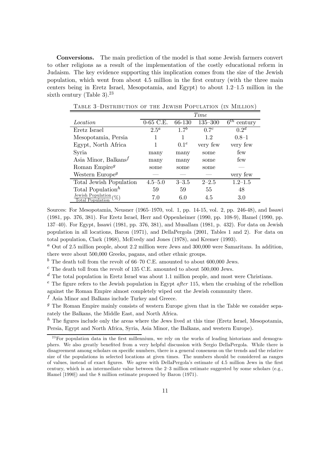Conversions. The main prediction of the model is that some Jewish farmers convert to other religions as a result of the implementation of the costly educational reform in Judaism. The key evidence supporting this implication comes from the size of the Jewish population, which went from about 4.5 million in the first century (with the three main centers being in Eretz Israel, Mesopotamia, and Egypt) to about 1.2—1.5 million in the sixth century (Table 3).<sup>23</sup>

|                                                     | <i>Time</i> |                  |                  |                             |  |
|-----------------------------------------------------|-------------|------------------|------------------|-----------------------------|--|
| <i>Location</i>                                     | $0-65$ C.E. | 66-130           | $135 - 300$      | $\overline{6}^{th}$ century |  |
| Eretz Israel                                        | $2.5^a$     | $17^b$           | 0.7 <sup>c</sup> | 0.2 <sup>d</sup>            |  |
| Mesopotamia, Persia                                 |             |                  | 12               | $0.8 - 1$                   |  |
| Egypt, North Africa                                 |             | 0.1 <sup>e</sup> | very few         | very few                    |  |
| Syria                                               | many        | many             | some             | few                         |  |
| Asia Minor, Balkans <sup><math>f</math></sup>       | many        | many             | some             | few                         |  |
| Roman Empire <sup><math>g</math></sup>              | some        | some             | some             |                             |  |
| Western Europe <sup>g</sup>                         |             |                  |                  | very few                    |  |
| Total Jewish Population                             | $4.5 - 5.0$ | $3 - 3.5$        | $2 - 2.5$        | $1.2 - 1.5$                 |  |
| Total Population <sup><math>h</math></sup>          | 59          | 59               | 55               | 48                          |  |
| Jewish Population $(\%)$<br><b>Total Population</b> | 7.0         | 6.0              | 4.5              | 3.0                         |  |

TABLE 3-DISTRIBUTION OF THE JEWISH POPULATION (IN MILLION)

Sources: For Mesopotamia, Neusner (1965—1970, vol. 1, pp. 14-15, vol. 2, pp. 246-48), and Issawi (1981, pp. 376, 381). For Eretz Israel, Herr and Oppenheimer (1990, pp. 108-9), Hamel (1990, pp. 137—40). For Egypt, Issawi (1981, pp. 376, 381), and Musallam (1981, p. 432). For data on Jewish population in all locations, Baron (1971), and DellaPergola (2001, Tables 1 and 2). For data on total population, Clark (1968), McEvedy and Jones (1978), and Kremer (1993).

 $a<sup>a</sup>$  Out of 2.5 million people, about 2.2 million were Jews and 300,000 were Samaritans. In addition, there were about 500,000 Greeks, pagans, and other ethnic groups.

 $\bar{b}$  The death toll from the revolt of 66–70 C.E. amounted to about 600,000 Jews.

 $^c$  The death toll from the revolt of 135 C.E. amounted to about 500,000 Jews.

 $d$  The total population in Eretz Israel was about 1.1 million people, and most were Christians.

 $e^{i}$  The figure refers to the Jewish population in Egypt *after* 115, when the crushing of the rebellion

against the Roman Empire almost completely wiped out the Jewish community there.

 $^f$  Asia Minor and Balkans include Turkey and Greece.

 $g$  The Roman Empire mainly consists of western Europe given that in the Table we consider separately the Balkans, the Middle East, and North Africa.

 $h$  The figures include only the areas where the Jews lived at this time (Eretz Israel, Mesopotamia, Persia, Egypt and North Africa, Syria, Asia Minor, the Balkans, and western Europe).

 $^{23}$  For population data in the first millennium, we rely on the works of leading historians and demographers. We also greatly benefited from a very helpful discussion with Sergio DellaPergola. While there is disagreement among scholars on specific numbers, there is a general consensus on the trends and the relative size of the populations in selected locations at given times. The numbers should be considered as ranges of values, instead of exact figures. We agree with DellaPergola's estimate of 4.5 million Jews in the first century, which is an intermediate value between the 2—3 million estimate suggested by some scholars (e.g., Hamel [1990]) and the 8 million estimate proposed by Baron (1971).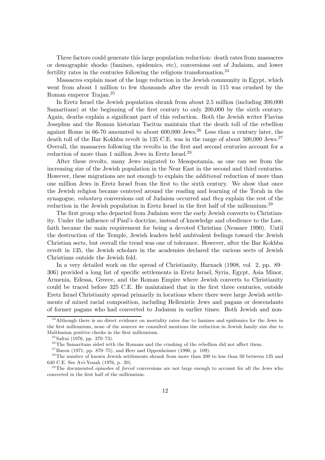Three factors could generate this large population reduction: death rates from massacres or demographic shocks (famines, epidemics, etc), conversions out of Judaism, and lower fertility rates in the centuries following the religious transformation.<sup>24</sup>

Massacres explain most of the huge reduction in the Jewish community in Egypt, which went from about 1 million to few thousands after the revolt in 115 was crushed by the Roman emperor Trajan.<sup>25</sup>

In Eretz Israel the Jewish population shrank from about 2.5 million (including 300,000 Samaritans) at the beginning of the first century to only 200,000 by the sixth century. Again, deaths explain a significant part of this reduction. Both the Jewish writer Flavius Josephus and the Roman historian Tacitus maintain that the death toll of the rebellion against Rome in 66-70 amounted to about 600,000 Jews.<sup>26</sup> Less than a century later, the death toll of the Bar Kokhba revolt in 135 C.E. was in the range of about 500,000 Jews.<sup>27</sup> Overall, the massacres following the revolts in the first and second centuries account for a reduction of more than 1 million Jews in Eretz Israel.<sup>28</sup>

After these revolts, many Jews migrated to Mesopotamia, as one can see from the increasing size of the Jewish population in the Near East in the second and third centuries. However, these migrations are not enough to explain the additional reduction of more than one million Jews in Eretz Israel from the first to the sixth century. We show that once the Jewish religion became centered around the reading and learning of the Torah in the synagogue, voluntary conversions out of Judaism occurred and they explain the rest of the reduction in the Jewish population in Eretz Israel in the first half of the millennium.<sup>29</sup>

The first group who departed from Judaism were the early Jewish converts to Christianity. Under the influence of Paul's doctrine, instead of knowledge and obedience to the Law, faith became the main requirement for being a devoted Christian (Neusner 1990). Until the destruction of the Temple, Jewish leaders held ambivalent feelings toward the Jewish Christian sects, but overall the trend was one of tolerance. However, after the Bar Kokhba revolt in 135, the Jewish scholars in the academies declared the various sects of Jewish Christians outside the Jewish fold.

In a very detailed work on the spread of Christianity, Harnack (1908, vol. 2, pp. 89— 306) provided a long list of specific settlements in Eretz Israel, Syria, Egypt, Asia Minor, Armenia, Edessa, Greece, and the Roman Empire where Jewish converts to Christianity could be traced before 325 C.E. He maintained that in the first three centuries, outside Eretz Israel Christianity spread primarily in locations where there were large Jewish settlements of mixed racial composition, including Hellenistic Jews and pagans or descendants of former pagans who had converted to Judaism in earlier times. Both Jewish and non-

 $^{24}$ Although there is no direct evidence on mortality rates due to famines and epidemics for the Jews in the first millennium, none of the sources we consulted mentions the reduction in Jewish family size due to Malthusian positive checks in the first millennium.

 $25$ Safrai (1976, pp. 370–73).

 $26$ The Samaritans sided with the Romans and the crushing of the rebellion did not affect them.

 $27$ Baron (1971, pp. 870–75), and Herr and Oppenheimer (1990, p. 109).

 $^{28}$ The number of known Jewish settlements shrank from more than 200 to less than 50 between 135 and 640 C.E. See Avi-Yonah (1976, p. 20).

 $^{29}$ The documented episodes of *forced* conversions are not large enough to account for all the Jews who converted in the first half of the millennium.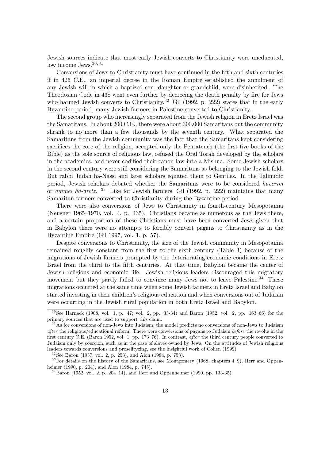Jewish sources indicate that most early Jewish converts to Christianity were uneducated, low income Jews.<sup>30,31</sup>

Conversions of Jews to Christianity must have continued in the fifth and sixth centuries if in 426 C.E., an imperial decree in the Roman Empire established the annulment of any Jewish will in which a baptized son, daughter or grandchild, were disinherited. The Theodosian Code in 438 went even further by decreeing the death penalty by fire for Jews who harmed Jewish converts to Christianity.<sup>32</sup> Gil (1992, p. 222) states that in the early Byzantine period, many Jewish farmers in Palestine converted to Christianity.

The second group who increasingly separated from the Jewish religion in Eretz Israel was the Samaritans. In about 200 C.E., there were about 300,000 Samaritans but the community shrank to no more than a few thousands by the seventh century. What separated the Samaritans from the Jewish community was the fact that the Samaritans kept considering sacrifices the core of the religion, accepted only the Pentateuch (the first five books of the Bible) as the sole source of religious law, refused the Oral Torah developed by the scholars in the academies, and never codified their canon law into a Mishna. Some Jewish scholars in the second century were still considering the Samaritans as belonging to the Jewish fold. But rabbi Judah ha-Nassi and later scholars equated them to Gentiles. In the Talmudic period, Jewish scholars debated whether the Samaritans were to be considered haverim or ammei ha-aretz. <sup>33</sup> Like for Jewish farmers, Gil (1992, p. 222) maintains that many Samaritan farmers converted to Christianity during the Byzantine period.

There were also conversions of Jews to Christianity in fourth-century Mesopotamia (Neusner 1965—1970, vol. 4, p. 435). Christians became as numerous as the Jews there, and a certain proportion of these Christians must have been converted Jews given that in Babylon there were no attempts to forcibly convert pagans to Christianity as in the Byzantine Empire (Gil 1997, vol. 1, p. 57).

Despite conversions to Christianity, the size of the Jewish community in Mesopotamia remained roughly constant from the first to the sixth century (Table 3) because of the migrations of Jewish farmers prompted by the deteriorating economic conditions in Eretz Israel from the third to the fifth centuries. At that time, Babylon became the center of Jewish religious and economic life. Jewish religious leaders discouraged this migratory movement but they partly failed to convince many Jews not to leave Palestine.<sup>34</sup> These migrations occurred at the same time when some Jewish farmers in Eretz Israel and Babylon started investing in their children's religious education and when conversions out of Judaism were occurring in the Jewish rural population in both Eretz Israel and Babylon.

 $32$ See Baron (1937, vol. 2, p. 253), and Alon (1984, p. 753).

 $30$  See Harnack (1908, vol. 1, p. 47; vol. 2, pp. 33-34) and Baron (1952, vol. 2, pp. 163-66) for the primary sources that are used to support this claim.

<sup>&</sup>lt;sup>31</sup> As for conversions of non-Jews into Judaism, the model predicts no conversions of non-Jews to Judaism after the religious/educational reform. There were conversions of pagans to Judaism before the revolts in the first century C.E. (Baron 1952, vol. 1, pp. 173—76). In contrast, after the third century people converted to Judaism only by coercion, such as in the case of slaves owned by Jews. On the attitudes of Jewish religious leaders towards conversions and proselityzing, see the insightful work of Cohen (1999).

<sup>&</sup>lt;sup>33</sup>For details on the history of the Samaritans, see Montgomery (1968, chapters 4–9), Herr and Oppenheimer (1990, p. 204), and Alon (1984, p. 745).

 $34$ Baron (1952, vol. 2, p. 204-14), and Herr and Oppenheimer (1990, pp. 133-35).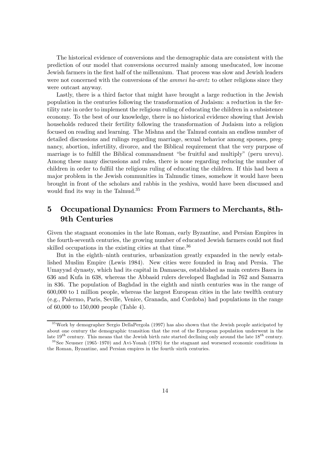The historical evidence of conversions and the demographic data are consistent with the prediction of our model that conversions occurred mainly among uneducated, low income Jewish farmers in the first half of the millennium. That process was slow and Jewish leaders were not concerned with the conversions of the *ammei ha-aretz* to other religions since they were outcast anyway.

Lastly, there is a third factor that might have brought a large reduction in the Jewish population in the centuries following the transformation of Judaism: a reduction in the fertility rate in order to implement the religious ruling of educating the children in a subsistence economy. To the best of our knowledge, there is no historical evidence showing that Jewish households reduced their fertility following the transformation of Judaism into a religion focused on reading and learning. The Mishna and the Talmud contain an endless number of detailed discussions and rulings regarding marriage, sexual behavior among spouses, pregnancy, abortion, infertility, divorce, and the Biblical requirement that the very purpose of marriage is to fulfill the Biblical commandment "be fruitful and multiply" (peru urevu). Among these many discussions and rules, there is none regarding reducing the number of children in order to fulfiil the religious ruling of educating the children. If this had been a major problem in the Jewish communities in Talmudic times, somehow it would have been brought in front of the scholars and rabbis in the yeshiva, would have been discussed and would find its way in the Talmud.35

## 5 Occupational Dynamics: From Farmers to Merchants, 8th-9th Centuries

Given the stagnant economies in the late Roman, early Byzantine, and Persian Empires in the fourth-seventh centuries, the growing number of educated Jewish farmers could not find skilled occupations in the existing cities at that time.<sup>36</sup>

But in the eighth—ninth centuries, urbanization greatly expanded in the newly established Muslim Empire (Lewis 1984). New cities were founded in Iraq and Persia. The Umayyad dynasty, which had its capital in Damascus, established as main centers Basra in 636 and Kufa in 638, whereas the Abbasid rulers developed Baghdad in 762 and Samarra in 836. The population of Baghdad in the eighth and ninth centuries was in the range of 600,000 to 1 million people, whereas the largest European cities in the late twelfth century (e.g., Palermo, Paris, Seville, Venice, Granada, and Cordoba) had populations in the range of 60,000 to 150,000 people (Table 4).

<sup>&</sup>lt;sup>35</sup> Work by demographer Sergio DellaPergola (1997) has also shown that the Jewish people anticipated by about one century the demographic transition that the rest of the European population underwent in the late  $19^{th}$  century. This means that the Jewish birth rate started declining only around the late  $18^{th}$  century.

 $36$ See Neusner (1965–1970) and Avi-Yonah (1976) for the stagnant and worsened economic conditions in the Roman, Byzantine, and Persian empires in the fourth—sixth centuries.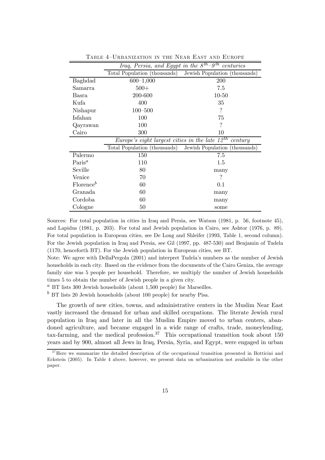|                       | Iraq, Persia, and Egypt in the $\overline{\delta^{th}-9^{th}}$ centuries |                               |  |  |
|-----------------------|--------------------------------------------------------------------------|-------------------------------|--|--|
|                       | Total Population (thousands)                                             | Jewish Population (thousands) |  |  |
| Baghdad               | $600 - 1,000$                                                            | 200                           |  |  |
| Samarra               | $500+$                                                                   | 7.5                           |  |  |
| Basra                 | 200-600                                                                  | $10 - 50$                     |  |  |
| Kufa                  | 400                                                                      | 35                            |  |  |
| Nishapur              | $100 - 500$                                                              | $\gamma$                      |  |  |
| Isfahan               | 100                                                                      | 75                            |  |  |
| Qayrawan              | 100                                                                      | ?                             |  |  |
| Cairo                 | 300                                                                      | 10                            |  |  |
|                       | Europe's eight largest cities in the late $12^{th}$                      | century                       |  |  |
|                       | Total Population (thousands)                                             | Jewish Population (thousands) |  |  |
| Palermo               | 150                                                                      | 7.5                           |  |  |
| Paris <sup>a</sup>    | 110                                                                      | $1.5\,$                       |  |  |
| Seville               | 80                                                                       | many                          |  |  |
| Venice                | 70                                                                       | ?                             |  |  |
| Florence <sup>b</sup> | 60                                                                       | 0.1                           |  |  |
|                       |                                                                          |                               |  |  |
| Granada               | 60                                                                       | many                          |  |  |
| Cordoba               | 60                                                                       | many                          |  |  |

TABLE 4-URBANIZATION IN THE NEAR EAST AND EUROPE

Sources: For total population in cities in Iraq and Persia, see Watson (1981, p. 56, footnote 45), and Lapidus (1981, p. 203). For total and Jewish population in Cairo, see Ashtor (1976, p. 89). For total population in European cities, see De Long and Shleifer (1993, Table 1, second column). For the Jewish population in Iraq and Persia, see Gil (1997, pp. 487-530) and Benjamin of Tudela (1170, henceforth BT). For the Jewish population in European cities, see BT.

Note: We agree with DellaPergola (2001) and interpret Tudela's numbers as the number of Jewish households in each city. Based on the evidence from the documents of the Cairo Geniza, the average family size was 5 people per household. Therefore, we multiply the number of Jewish households times 5 to obtain the number of Jewish people in a given city.

 $a$  BT lists 300 Jewish households (about 1,500 people) for Marseilles.

 $b$  BT lists 20 Jewish households (about 100 people) for nearby Pisa.

The growth of new cities, towns, and administrative centers in the Muslim Near East vastly increased the demand for urban and skilled occupations. The literate Jewish rural population in Iraq and later in all the Muslim Empire moved to urban centers, abandoned agriculture, and became engaged in a wide range of crafts, trade, moneylending, tax-farming, and the medical profession.<sup>37</sup> This occupational transition took about  $150$ years and by 900, almost all Jews in Iraq, Persia, Syria, and Egypt, were engaged in urban

<sup>&</sup>lt;sup>37</sup>Here we summarize the detailed description of the occupational transition presented in Botticini and Eckstein (2005). In Table 4 above, however, we present data on urbanization not available in the other paper.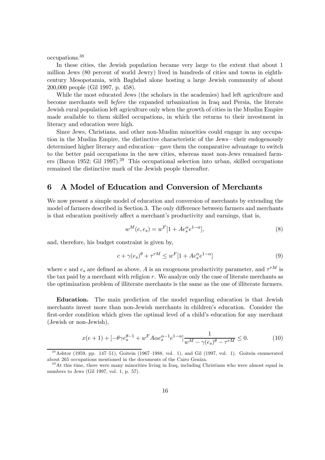occupations.<sup>38</sup>

In these cities, the Jewish population became very large to the extent that about 1 million Jews (80 percent of world Jewry) lived in hundreds of cities and towns in eighthcentury Mesopotamia, with Baghdad alone hosting a large Jewish community of about 200,000 people (Gil 1997, p. 458).

While the most educated Jews (the scholars in the academies) had left agriculture and become merchants well before the expanded urbanization in Iraq and Persia, the literate Jewish rural population left agriculture only when the growth of cities in the Muslim Empire made available to them skilled occupations, in which the returns to their investment in literacy and education were high.

Since Jews, Christians, and other non-Muslim minorities could engage in any occupation in the Muslim Empire, the distinctive characteristic of the Jews–their endogenously determined higher literacy and education–gave them the comparative advantage to switch to the better paid occupations in the new cities, whereas most non-Jews remained farmers (Baron 1952; Gil 1997).39 This occupational selection into urban, skilled occupations remained the distinctive mark of the Jewish people thereafter.

#### 6 A Model of Education and Conversion of Merchants

We now present a simple model of education and conversion of merchants by extending the model of farmers described in Section 3. The only difference between farmers and merchants is that education positively affect a merchant's productivity and earnings, that is,

$$
w^{M}(e, e_{s}) = w^{F}[1 + Ae_{s}^{\alpha}e^{1-\alpha}], \qquad (8)
$$

and, therefore, his budget constraint is given by,

$$
c + \gamma(e_s)^{\theta} + \tau^{rM} \le w^F[1 + Ae_s^{\alpha}e^{1-\alpha}]
$$
\n(9)

where e and  $e_s$  are defined as above, A is an exogenous productivity parameter, and  $\tau^{rM}$  is the tax paid by a merchant with religion r. We analyze only the case of literate merchants as the optimization problem of illiterate merchants is the same as the one of illiterate farmers.

Education. The main prediction of the model regarding education is that Jewish merchants invest more than non-Jewish merchants in children's education. Consider the first-order condition which gives the optimal level of a child's education for any merchant (Jewish or non-Jewish),

$$
x(e+1) + [-\theta \gamma e_s^{\theta - 1} + w^F A \alpha e_s^{\alpha - 1} e^{1 - \alpha}] \frac{1}{w^M - \gamma(e_s)^{\theta} - \tau^{rM}} \le 0.
$$
 (10)

<sup>3 8</sup>Ashtor (1959, pp. 147—51), Goitein (1967—1988, vol. 1), and Gil (1997, vol. 1). Goitein enumerated about 265 occupations mentioned in the documents of the Cairo Geniza.

 $39$ At this time, there were many minorities living in Iraq, including Christians who were almost equal in numbers to Jews (Gil 1997, vol. 1, p. 57).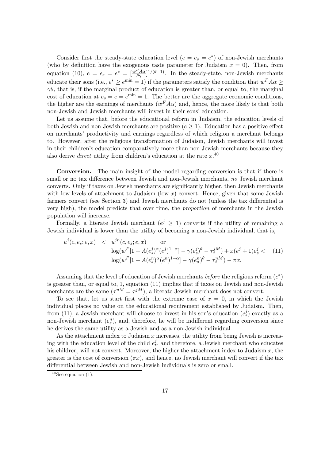Consider first the steady-state education level  $(e = e_s = e^*)$  of non-Jewish merchants (who by definition have the exogenous taste parameter for Judaism  $x = 0$ ). Then, from equation (10),  $e = e_s = e^* = \left[\frac{w^F A \alpha}{\theta \gamma}\right]^{1/(\theta - 1)}$ . In the steady-state, non-Jewish merchants educate their sons (i.e.,  $e^* \ge e^{\min} = 1$ ) if the parameters satisfy the condition that  $w^F A \alpha \ge$  $\gamma\theta$ , that is, if the marginal product of education is greater than, or equal to, the marginal cost of education at  $e_s = e = e^{\min} = 1$ . The better are the aggregate economic conditions, the higher are the earnings of merchants  $(w<sup>F</sup>A\alpha)$  and, hence, the more likely is that both non-Jewish and Jewish merchants will invest in their sons' education.

Let us assume that, before the educational reform in Judaism, the education levels of both Jewish and non-Jewish merchants are positive  $(e \geq 1)$ . Education has a positive effect on merchants' productivity and earnings regardless of which religion a merchant belongs to. However, after the religious transformation of Judaism, Jewish merchants will invest in their children's education comparatively more than non-Jewish merchants because they also derive *direct* utility from children's education at the rate  $x^{.40}$ 

Conversion. The main insight of the model regarding conversion is that if there is small or no tax difference between Jewish and non-Jewish merchants, no Jewish merchant converts. Only if taxes on Jewish merchants are significantly higher, then Jewish merchants with low levels of attachment to Judaism (low  $x$ ) convert. Hence, given that some Jewish farmers convert (see Section 3) and Jewish merchants do not (unless the tax differential is very high), the model predicts that over time, the proportion of merchants in the Jewish population will increase.

Formally, a literate Jewish merchant ( $e^j \geq 1$ ) converts if the utility of remaining a Jewish individual is lower than the utility of becoming a non-Jewish individual, that is,

$$
u^{j}(c, e_{s}; e, x) < u^{jn}(c, e_{s}; e, x) \text{ or}
$$
  
\n
$$
\log(w^{F}[1 + A(e_{s}^{j})^{\alpha}(e^{j})^{1-\alpha}] - \gamma(e_{s}^{j})^{\theta} - \tau_{t}^{j}M) + x(e^{j} + 1)e_{s}^{j} < (11)
$$
  
\n
$$
\log(w^{F}[1 + A(e_{s}^{n})^{\alpha}(e^{n})^{1-\alpha}] - \gamma(e_{s}^{n})^{\theta} - \tau_{t}^{n}M) - \pi x.
$$

Assuming that the level of education of Jewish merchants before the religious reform  $(e^*)$ is greater than, or equal to, 1, equation (11) implies that if taxes on Jewish and non-Jewish merchants are the same  $(\tau^{nM} = \tau^{jM})$ , a literate Jewish merchant does not convert.

To see that, let us start first with the extreme case of  $x = 0$ , in which the Jewish individual places no value on the educational requirement established by Judaism. Then, from (11), a Jewish merchant will choose to invest in his son's education  $(e_3^j)$  exactly as a non-Jewish merchant  $(e_s^n)$ , and, therefore, he will be indifferent regarding conversion since he derives the same utility as a Jewish and as a non-Jewish individual.

As the attachment index to Judaism  $x$  increases, the utility from being Jewish is increasing with the education level of the child  $e_s^j$ , and therefore, a Jewish merchant who educates his children, will not convert. Moreover, the higher the attachment index to Judaism  $x$ , the greater is the cost of conversion  $(\pi x)$ , and hence, no Jewish merchant will convert if the tax differential between Jewish and non-Jewish individuals is zero or small.

 $40$  See equation (1).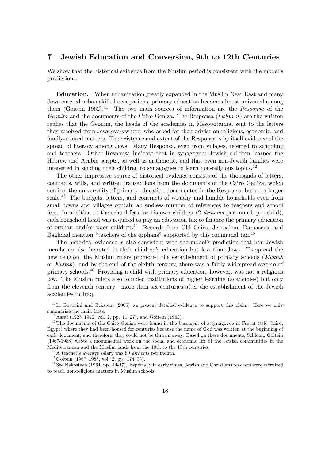#### 7 Jewish Education and Conversion, 9th to 12th Centuries

We show that the historical evidence from the Muslim period is consistent with the model's predictions.

Education. When urbanization greatly expanded in the Muslim Near East and many Jews entered urban skilled occupations, primary education became almost universal among them (Goitein 1962).<sup>41</sup> The two main sources of information are the Responsa of the Geonim and the documents of the Cairo Geniza. The Responsa (teshuvot) are the written replies that the Geonim, the heads of the academies in Mesopotamia, sent to the letters they received from Jews everywhere, who asked for their advise on religious, economic, and family-related matters. The existence and extent of the Responsa is by itself evidence of the spread of literacy among Jews. Many Responsa, even from villages, referred to schooling and teachers. Other Responsa indicate that in synagogues Jewish children learned the Hebrew and Arabic scripts, as well as arithmetic, and that even non-Jewish families were interested in sending their children to synagogues to learn non-religious topics.<sup>42</sup>

The other impressive source of historical evidence consists of the thousands of letters, contracts, wills, and written transactions from the documents of the Cairo Geniza, which confirm the universality of primary education documented in the Responsa, but on a larger scale.<sup>43</sup> The budgets, letters, and contracts of wealthy and humble households even from small towns and villages contain an endless number of references to teachers and school fees. In addition to the school fees for his own children (2 dirhems per month per child), each household head was required to pay an education tax to finance the primary education of orphan and/or poor children.44 Records from Old Cairo, Jerusalem, Damascus, and Baghdad mention "teachers of the orphans" supported by this communal tax.<sup>45</sup>

The historical evidence is also consistent with the model's prediction that non-Jewish merchants also invested in their children's education but less than Jews. To spread the new religion, the Muslim rulers promoted the establishment of primary schools (Maktab or Kuttab), and by the end of the eighth century, there was a fairly widespread system of primary schools.46 Providing a child with primary education, however, was not a religious law. The Muslim rulers also founded institutions of higher learning (academies) but only from the eleventh century–more than six centuries after the establishment of the Jewish academies in Iraq.

 $^{41}$ In Botticini and Eckstein (2005) we present detailed evidence to support this claim. Here we only summarize the main facts.

 $42$  Assaf (1925–1942, vol. 2, pp. 11–27), and Goitein (1962).

<sup>&</sup>lt;sup>43</sup>The documents of the Cairo Geniza were found in the basement of a synagogue in Fustat (Old Cairo, Egypt) where they had been housed for centuries because the name of God was written at the beginning of each document, and therefore, they could not be thrown away. Based on these documents, Schlomo Goitein (1967-1988) wrote a monumental work on the social and economic life of the Jewish communities in the Mediterranean and the Muslim lands from the 10th to the 13th centuries.

 $^{44}$ A teacher's average salary was 80 *dirhems* per month.

 $45$  Goitein (1967–1988, vol. 2, pp. 174–93).

<sup>&</sup>lt;sup>46</sup> See Nakosteen (1964, pp. 44-47). Especially in early times, Jewish and Christians teachers were recruited to teach non-religious matters in Muslim schools.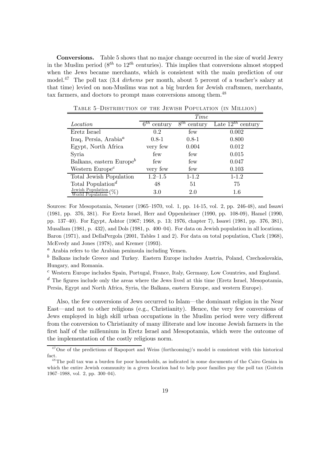Conversions. Table 5 shows that no major change occurred in the size of world Jewry in the Muslim period ( $8^{th}$  to  $12^{th}$  centuries). This implies that conversions almost stopped when the Jews became merchants, which is consistent with the main prediction of our model.<sup>47</sup> The poll tax  $(3.4 \text{ d}r$ hems per month, about 5 percent of a teacher's salary at that time) levied on non-Muslims was not a big burden for Jewish craftsmen, merchants, tax farmers, and doctors to prompt mass conversions among them.<sup>48</sup>

|                                                                          | Time                |                     |                        |  |  |
|--------------------------------------------------------------------------|---------------------|---------------------|------------------------|--|--|
| Location                                                                 | $6^{th}$<br>century | $8^{th}$<br>century | Late $12^{th}$ century |  |  |
| Eretz Israel                                                             | 0.2                 | few                 | 0.002                  |  |  |
| Iraq, Persia, Arabia <sup><math>a</math></sup>                           | $0.8-1$             | $0.8 - 1$           | 0.800                  |  |  |
| Egypt, North Africa                                                      | very few            | 0.004               | 0.012                  |  |  |
| Syria                                                                    | few                 | few                 | 0.015                  |  |  |
| Balkans, eastern Europe <sup>b</sup>                                     | few                 | few                 | 0.047                  |  |  |
| Western $Europe^c$                                                       | very few            | few                 | 0.103                  |  |  |
| Total Jewish Population                                                  | $1.2 - 1.5$         | $1 - 1.2$           | $1 - 1.2$              |  |  |
| Total Population <sup><math>d</math></sup>                               | 48                  | 51                  | 75                     |  |  |
| $\frac{\text{Jewish Population}}{\text{Iution}}(\%)$<br>World Population | 3.0                 | 2.0                 | 1.6                    |  |  |

TABLE 5-DISTRIBUTION OF THE JEWISH POPULATION (IN MILLION)

Sources: For Mesopotamia, Neusner (1965—1970, vol. 1, pp. 14-15, vol. 2, pp. 246-48), and Issawi (1981, pp. 376, 381). For Eretz Israel, Herr and Oppenheimer (1990, pp. 108-09), Hamel (1990, pp. 137—40). For Egypt, Ashtor (1967; 1968, p. 13; 1976, chapter 7), Issawi (1981, pp. 376, 381), Musallam (1981, p. 432), and Dols (1981, p. 400—04). For data on Jewish population in all locations, Baron (1971), and DellaPergola (2001, Tables 1 and 2). For data on total population, Clark (1968), McEvedy and Jones (1978), and Kremer (1993).

<sup>a</sup> Arabia refers to the Arabian peninsula including Yemen.

 $<sup>b</sup>$  Balkans include Greece and Turkey. Eastern Europe includes Austria, Poland, Czechoslovakia,</sup> Hungary, and Romania.

<sup>c</sup> Western Europe includes Spain, Portugal, France, Italy, Germany, Low Countries, and England.

 $d$  The figures include only the areas where the Jews lived at this time (Eretz Israel, Mesopotamia, Persia, Egypt and North Africa, Syria, the Balkans, eastern Europe, and western Europe).

Also, the few conversions of Jews occurred to Islam–the dominant religion in the Near East–and not to other religions (e.g., Christianity). Hence, the very few conversions of Jews employed in high skill urban occupations in the Muslim period were very different from the conversion to Christianity of many illiterate and low income Jewish farmers in the first half of the millennium in Eretz Israel and Mesopotamia, which were the outcome of the implementation of the costly religious norm.

<sup>&</sup>lt;sup>47</sup>One of the predictions of Rapoport and Weiss (forthcoming)'s model is consistent with this historical fact.

<sup>&</sup>lt;sup>48</sup>The poll tax was a burden for poor households, as indicated in some documents of the Cairo Geniza in which the entire Jewish community in a given location had to help poor families pay the poll tax (Goitein 1967—1988, vol. 2, pp. 300—04).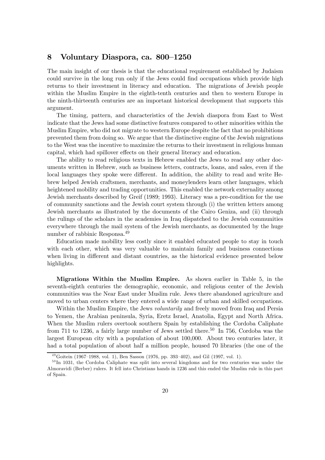#### 8 Voluntary Diaspora, ca. 800—1250

The main insight of our thesis is that the educational requirement established by Judaism could survive in the long run only if the Jews could find occupations which provide high returns to their investment in literacy and education. The migrations of Jewish people within the Muslim Empire in the eighth-tenth centuries and then to western Europe in the ninth-thirteenth centuries are an important historical development that supports this argument.

The timing, pattern, and characteristics of the Jewish diaspora from East to West indicate that the Jews had some distinctive features compared to other minorities within the Muslim Empire, who did not migrate to western Europe despite the fact that no prohibitions prevented them from doing so. We argue that the distinctive engine of the Jewish migrations to the West was the incentive to maximize the returns to their investment in religious human capital, which had spillover effects on their general literacy and education.

The ability to read religious texts in Hebrew enabled the Jews to read any other documents written in Hebrew, such as business letters, contracts, loans, and sales, even if the local languages they spoke were different. In addition, the ability to read and write Hebrew helped Jewish craftsmen, merchants, and moneylenders learn other languages, which heightened mobility and trading opportunities. This enabled the network externality among Jewish merchants described by Greif (1989; 1993). Literacy was a pre-condition for the use of community sanctions and the Jewish court system through (i) the written letters among Jewish merchants as illustrated by the documents of the Cairo Geniza, and (ii) through the rulings of the scholars in the academies in Iraq dispatched to the Jewish communities everywhere through the mail system of the Jewish merchants, as documented by the huge number of rabbinic Responsa.<sup>49</sup>

Education made mobility less costly since it enabled educated people to stay in touch with each other, which was very valuable to maintain family and business connections when living in different and distant countries, as the historical evidence presented below highlights.

Migrations Within the Muslim Empire. As shown earlier in Table 5, in the seventh-eighth centuries the demographic, economic, and religious center of the Jewish communities was the Near East under Muslim rule. Jews there abandoned agriculture and moved to urban centers where they entered a wide range of urban and skilled occupations.

Within the Muslim Empire, the Jews *voluntarily* and freely moved from Iraq and Persia to Yemen, the Arabian peninsula, Syria, Eretz Israel, Anatolia, Egypt and North Africa. When the Muslim rulers overtook southern Spain by establishing the Cordoba Caliphate from 711 to 1236, a fairly large number of Jews settled there.<sup>50</sup> In 756, Cordoba was the largest European city with a population of about 100,000. About two centuries later, it had a total population of about half a million people, housed 70 libraries (the one of the

 $^{49}$ Goitein (1967–1988, vol. 1), Ben Sasson (1976, pp. 393–402), and Gil (1997, vol. 1).

 $50$  In 1031, the Cordoba Caliphate was split into several kingdoms and for two centuries was under the Almoravidi (Berber) rulers. It fell into Christians hands in 1236 and this ended the Muslim rule in this part of Spain.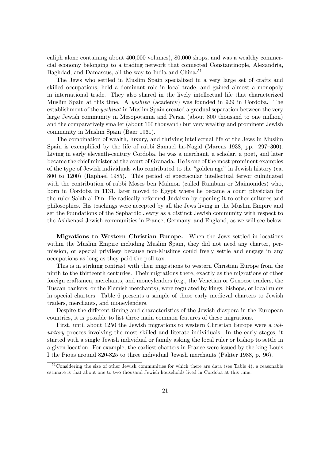caliph alone containing about 400,000 volumes), 80,000 shops, and was a wealthy commercial economy belonging to a trading network that connected Constantinople, Alexandria, Baghdad, and Damascus, all the way to India and China.<sup>51</sup>

The Jews who settled in Muslim Spain specialized in a very large set of crafts and skilled occupations, held a dominant role in local trade, and gained almost a monopoly in international trade. They also shared in the lively intellectual life that characterized Muslim Spain at this time. A yeshiva (academy) was founded in 929 in Cordoba. The establishment of the yeshivot in Muslim Spain created a gradual separation between the very large Jewish community in Mesopotamia and Persia (about 800 thousand to one million) and the comparatively smaller (about 100 thousand) but very wealthy and prominent Jewish community in Muslim Spain (Baer 1961).

The combination of wealth, luxury, and thriving intellectual life of the Jews in Muslim Spain is exemplified by the life of rabbi Samuel ha-Nagid (Marcus 1938, pp. 297—300). Living in early eleventh-century Cordoba, he was a merchant, a scholar, a poet, and later became the chief minister at the court of Granada. He is one of the most prominent examples of the type of Jewish individuals who contributed to the "golden age" in Jewish history (ca. 800 to 1200) (Raphael 1985). This period of spectacular intellectual fervor culminated with the contribution of rabbi Moses ben Maimon (called Rambam or Maimonides) who, born in Cordoba in 1131, later moved to Egypt where he became a court physician for the ruler Salah al-Din. He radically reformed Judaism by opening it to other cultures and philosophies. His teachings were accepted by all the Jews living in the Muslim Empire and set the foundations of the Sephardic Jewry as a distinct Jewish community with respect to the Ashkenazi Jewish communities in France, Germany, and England, as we will see below.

Migrations to Western Christian Europe. When the Jews settled in locations within the Muslim Empire including Muslim Spain, they did not need any charter, permission, or special privilege because non-Muslims could freely settle and engage in any occupations as long as they paid the poll tax.

This is in striking contrast with their migrations to western Christian Europe from the ninth to the thirteenth centuries. Their migrations there, exactly as the migrations of other foreign craftsmen, merchants, and moneylenders (e.g., the Venetian or Genoese traders, the Tuscan bankers, or the Flemish merchants), were regulated by kings, bishops, or local rulers in special charters. Table 6 presents a sample of these early medieval charters to Jewish traders, merchants, and moneylenders.

Despite the different timing and characteristics of the Jewish diaspora in the European countries, it is possible to list three main common features of these migrations.

First, until about 1250 the Jewish migrations to western Christian Europe were a voluntary process involving the most skilled and literate individuals. In the early stages, it started with a single Jewish individual or family asking the local ruler or bishop to settle in a given location. For example, the earliest charters in France were issued by the king Louis I the Pious around 820-825 to three individual Jewish merchants (Pakter 1988, p. 96).

 $51$ Considering the size of other Jewish communities for which there are data (see Table 4), a reasonable estimate is that about one to two thousand Jewish households lived in Cordoba at this time.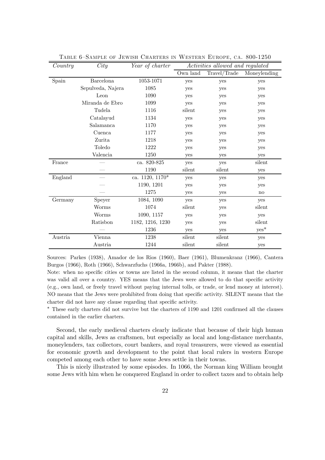| Country | City              | Year of charter  | Activities allowed and regulated |              |                        |
|---------|-------------------|------------------|----------------------------------|--------------|------------------------|
|         |                   |                  | Own land                         | Travel/Trade | Moneylending           |
| Spain   | <b>Barcelona</b>  | 1053-1071        | yes                              | yes          | yes                    |
|         | Sepulveda, Najera | 1085             | yes                              | yes          | yes                    |
|         | Leon              | 1090             | yes                              | yes          | yes                    |
|         | Miranda de Ebro   | 1099             | yes                              | yes          | yes                    |
|         | Tudela            | 1116             | silent                           | yes          | yes                    |
|         | Catalayud         | 1134             | yes                              | yes          | yes                    |
|         | Salamanca         | 1170             | yes                              | yes          | yes                    |
|         | Cuenca            | 1177             | yes                              | yes          | yes                    |
|         | Zurita            | 1218             | yes                              | yes          | yes                    |
|         | Toledo            | 1222             | yes                              | yes          | yes                    |
|         | Valencia          | 1250             | yes                              | yes          | yes                    |
| France  |                   | ca. 820-825      | yes                              | yes          | silent                 |
|         |                   | 1190             | silent                           | silent       | yes                    |
| England |                   | ca. 1120, 1170*  | yes                              | yes          | yes                    |
|         |                   | 1190, 1201       | yes                              | yes          | yes                    |
|         |                   | 1275             | yes                              | yes          | $\mathbf{n}\mathbf{o}$ |
| Germany | Speyer            | 1084, 1090       | yes                              | yes          | yes                    |
|         | Worms             | 1074             | silent                           | yes          | silent                 |
|         | Worms             | 1090, 1157       | yes                              | yes          | yes                    |
|         | Ratisbon          | 1182, 1216, 1230 | yes                              | yes          | silent                 |
|         |                   | 1236             | yes                              | yes          | $yes^*$                |
| Austria | Vienna            | 1238             | silent                           | silent       | yes                    |
|         | Austria           | 1244             | silent                           | silent       | yes                    |

TABLE 6-SAMPLE OF JEWISH CHARTERS IN WESTERN EUROPE, CA. 800-1250

Sources: Parkes (1938), Amador de los Rios (1960), Baer (1961), Blumenkranz (1966), Cantera Burgos (1966), Roth (1966), Schwarzfuchs (1966a, 1966b), and Pakter (1988).

Note: when no specific cities or towns are listed in the second column, it means that the charter was valid all over a country. YES means that the Jews were allowed to do that specific activity (e.g., own land, or freely travel without paying internal tolls, or trade, or lend money at interest). NO means that the Jews were prohibited from doing that specific activity. SILENT means that the charter did not have any clause regarding that specific activity.

∗ These early charters did not survive but the charters of 1190 and 1201 confirmed all the clauses contained in the earlier charters.

Second, the early medieval charters clearly indicate that because of their high human capital and skills, Jews as craftsmen, but especially as local and long-distance merchants, moneylenders, tax collectors, court bankers, and royal treasurers, were viewed as essential for economic growth and development to the point that local rulers in western Europe competed among each other to have some Jews settle in their towns.

This is nicely illustrated by some episodes. In 1066, the Norman king William brought some Jews with him when he conquered England in order to collect taxes and to obtain help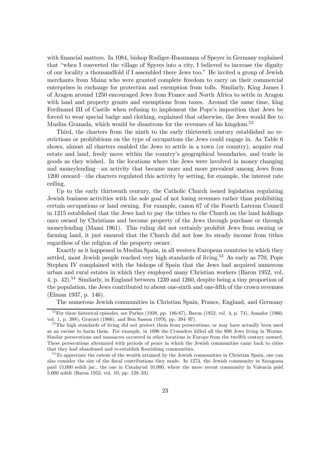with financial matters. In 1084, bishop Rudiger-Huozmann of Speyer in Germany explained that "when I converted the village of Spyres into a city, I believed to increase the dignity of our locality a thousandfold if I assembled there Jews too." He invited a group of Jewish merchants from Mainz who were granted complete freedom to carry on their commercial enterprises in exchange for protection and exemption from tolls. Similarly, King James I of Aragon around 1250 encouraged Jews from France and North Africa to settle in Aragon with land and property grants and exemptions from taxes. Around the same time, king Ferdinand III of Castile when refusing to implement the Pope's imposition that Jews be forced to wear special badge and clothing, explained that otherwise, the Jews would flee to Muslim Granada, which would be disastrous for the revenues of his kingdom.<sup>52</sup>

Third, the charters from the ninth to the early thirteenth century established no restrictions or prohibitions on the type of occupations the Jews could engage in. As Table 6 shows, almost all charters enabled the Jews to settle in a town (or country), acquire real estate and land, freely move within the country's geographical boundaries, and trade in goods as they wished. In the locations where the Jews were involved in money changing and moneylending–an activity that became more and more prevalent among Jews from 1200 onward–the charters regulated this activity by setting, for example, the interest rate ceiling.

Up to the early thirteenth century, the Catholic Church issued legislation regulating Jewish business activities with the sole goal of not losing revenues rather than prohibiting certain occupations or land owning. For example, canon 67 of the Fourth Lateran Council in 1215 established that the Jews had to pay the tithes to the Church on the land holdings once owned by Christians and become property of the Jews through purchase or through moneylending (Mansi 1961). This ruling did not certainly prohibit Jews from owning or farming land, it just ensured that the Church did not lose its steady income from tithes regardless of the religion of the property owner.

Exactly as it happened in Muslim Spain, in all western European countries in which they settled, most Jewish people reached very high standards of living.<sup>53</sup> As early as 770, Pope Stephen IV complained with the bishops of Spain that the Jews had acquired numerous urban and rural estates in which they employed many Christian workers (Baron 1952, vol. 4, p. 42).<sup>54</sup> Similarly, in England between 1239 and 1260, despite being a tiny proportion of the population, the Jews contributed to about one-sixth and one-fifth of the crown revenues (Elman 1937, p. 146).

The numerous Jewish communities in Christian Spain, France, England, and Germany

 $52$  For these historical episodes, see Parkes (1938, pp. 186-87), Baron (1952, vol. 4, p. 74), Amador (1960, vol. 1, p. 388), Grayzel (1966), and Ben Sasson (1976, pp. 394—97).

<sup>&</sup>lt;sup>53</sup>The high standards of living did not protect them from persecutions, or may have actually been used as an excuse to harm them. For example, in 1096 the Crusaders killed all the 800 Jews living in Worms. Similar persecutions and massacres occurred in other locations in Europe from the twelfth century onward. These persecutions alternated with periods of peace in which the Jewish communities came back to cities that they had abandoned and re-establish flourishing communities.

<sup>&</sup>lt;sup>54</sup>To appreciate the extent of the wealth attained by the Jewish communities in Christian Spain, one can also consider the size of the fiscal contributions they made. In 1274, the Jewish community in Saragossa paid 15,000 solidi jac., the one in Catalayud 10,000, where the more recent community in Valencia paid 5,000 solidi (Baron 1952, vol. 10, pp. 128—33).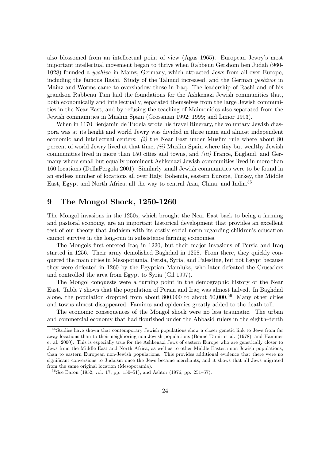also blossomed from an intellectual point of view (Agus 1965). European Jewry's most important intellectual movement began to thrive when Rabbenu Gershom ben Judah (960- 1028) founded a yeshiva in Mainz, Germany, which attracted Jews from all over Europe, including the famous Rashi. Study of the Talmud increased, and the German yeshivot in Mainz and Worms came to overshadow those in Iraq. The leadership of Rashi and of his grandson Rabbenu Tam laid the foundations for the Ashkenazi Jewish communities that, both economically and intellectually, separated themselves from the large Jewish communities in the Near East, and by refusing the teaching of Maimonides also separated from the Jewish communities in Muslim Spain (Grossman 1992; 1999; and Limor 1993).

When in 1170 Benjamin de Tudela wrote his travel itinerary, the voluntary Jewish diaspora was at its height and world Jewry was divided in three main and almost independent economic and intellectual centers:  $(i)$  the Near East under Muslim rule where about 80 percent of world Jewry lived at that time, (ii) Muslim Spain where tiny but wealthy Jewish communities lived in more than 150 cities and towns, and *(iii)* France, England, and Germany where small but equally prominent Ashkenazi Jewish communities lived in more than 160 locations (DellaPergola 2001). Similarly small Jewish communities were to be found in an endless number of locations all over Italy, Bohemia, eastern Europe, Turkey, the Middle East, Egypt and North Africa, all the way to central Asia, China, and India.55

#### 9 The Mongol Shock, 1250-1260

The Mongol invasions in the 1250s, which brought the Near East back to being a farming and pastoral economy, are an important historical development that provides an excellent test of our theory that Judaism with its costly social norm regarding children's education cannot survive in the long-run in subsistence farming economies.

The Mongols first entered Iraq in 1220, but their major invasions of Persia and Iraq started in 1256. Their army demolished Baghdad in 1258. From there, they quickly conquered the main cities in Mesopotamia, Persia, Syria, and Palestine, but not Egypt because they were defeated in 1260 by the Egyptian Mamluks, who later defeated the Crusaders and controlled the area from Egypt to Syria (Gil 1997).

The Mongol conquests were a turning point in the demographic history of the Near East. Table 7 shows that the population of Persia and Iraq was almost halved. In Baghdad alone, the population dropped from about  $800,000$  to about  $60,000$ .<sup>56</sup> Many other cities and towns almost disappeared. Famines and epidemics greatly added to the death toll.

The economic consequences of the Mongol shock were no less traumatic. The urban and commercial economy that had flourished under the Abbasid rulers in the eighth—tenth

<sup>&</sup>lt;sup>55</sup> Studies have shown that contemporary Jewish populations show a closer genetic link to Jews from far away locations than to their neighboring non-Jewish populations (Bonné-Tamir et al. (1978), and Hammer et al. 2000). This is especially true for the Ashkenazi Jews of eastern Europe who are genetically closer to Jews from the Middle East and North Africa, as well as to other Middle Eastern non-Jewish populations, than to eastern European non-Jewish populations. This provides additional evidence that there were no significant conversions to Judaism once the Jews became merchants, and it shows that all Jews migrated from the same original location (Mesopotamia).

 $^{56}$ See Baron (1952, vol. 17, pp. 150–51), and Ashtor (1976, pp. 251–57).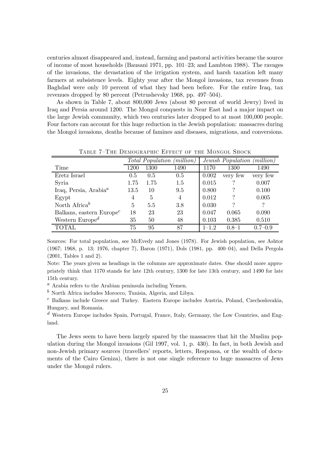centuries almost disappeared and, instead, farming and pastoral activities became the source of income of most households (Bausani 1971, pp. 101—23; and Lambton 1988). The ravages of the invasions, the devastation of the irrigation system, and harsh taxation left many farmers at subsistence levels. Eighty year after the Mongol invasions, tax revenues from Baghdad were only 10 percent of what they had been before. For the entire Iraq, tax revenues dropped by 80 percent (Petrushevsky 1968, pp. 497—504).

As shown in Table 7, about 800,000 Jews (about 80 percent of world Jewry) lived in Iraq and Persia around 1200. The Mongol conquests in Near East had a major impact on the large Jewish community, which two centuries later dropped to at most 100,000 people. Four factors can account for this huge reduction in the Jewish population: massacres during the Mongol invasions, deaths because of famines and diseases, migrations, and conversions.

|                                                | $\textit{(million)}$<br><i>Total Population</i> |      |      | $\it (million)$<br>Jewish Population |           |             |
|------------------------------------------------|-------------------------------------------------|------|------|--------------------------------------|-----------|-------------|
| Time                                           | 1200                                            | 1300 | 1490 | 1170                                 | 1300      | 1490        |
| Eretz Israel                                   | 0.5                                             | 0.5  | 0.5  | 0.002                                | very few  | very few    |
| Syria                                          | 1.75                                            | 1.75 | 1.5  | 0.015                                |           | 0.007       |
| Iraq, Persia, Arabia <sup><math>a</math></sup> | 13.5                                            | 10   | 9.5  | 0.800                                | ?         | 0.100       |
| Egypt                                          | 4                                               | 5    | 4    | 0.012                                |           | 0.005       |
| North Africa <sup>b</sup>                      | $\mathbf{5}$                                    | 5.5  | 3.8  | 0.030                                |           |             |
| Balkans, eastern $Europec$                     | 18                                              | 23   | 23   | 0.047                                | 0.065     | 0.090       |
| Western Europe <sup><math>d</math></sup>       | 35                                              | 50   | 48   | 0.103                                | 0.385     | 0.510       |
| TOTAL                                          | 75                                              | 95   | 87   | $1 - 12$                             | $0.8 - 1$ | $0.7 - 0.9$ |

TABLE 7-THE DEMOGRAPHIC EFFECT OF THE MONGOL SHOCK

Sources: For total population, see McEvedy and Jones (1978). For Jewish population, see Ashtor (1967; 1968, p. 13; 1976, chapter 7), Baron (1971), Dols (1981, pp. 400—04), and Della Pergola (2001, Tables 1 and 2).

Note: The years given as headings in the columns are approximate dates. One should more appropriately think that 1170 stands for late 12th century, 1300 for late 13th century, and 1490 for late 15th century.

 $a$  Arabia refers to the Arabian peninsula including Yemen.

 $<sup>b</sup>$  North Africa includes Morocco, Tunisia, Algeria, and Libya.</sup>

<sup>c</sup> Balkans include Greece and Turkey. Eastern Europe includes Austria, Poland, Czechoslovakia, Hungary, and Romania.

<sup>d</sup> Western Europe includes Spain, Portugal, France, Italy, Germany, the Low Countries, and England.

The Jews seem to have been largely spared by the massacres that hit the Muslim population during the Mongol invasions (Gil 1997, vol. 1, p. 430). In fact, in both Jewish and non-Jewish primary sources (travellers' reports, letters, Responsa, or the wealth of documents of the Cairo Geniza), there is not one single reference to huge massacres of Jews under the Mongol rulers.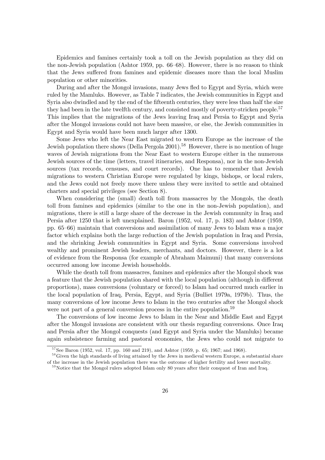Epidemics and famines certainly took a toll on the Jewish population as they did on the non-Jewish population (Ashtor 1959, pp. 66—68). However, there is no reason to think that the Jews suffered from famines and epidemic diseases more than the local Muslim population or other minorities.

During and after the Mongol invasions, many Jews fled to Egypt and Syria, which were ruled by the Mamluks. However, as Table 7 indicates, the Jewish communities in Egypt and Syria also dwindled and by the end of the fifteenth centuries, they were less than half the size they had been in the late twelfth century, and consisted mostly of poverty-stricken people.<sup>57</sup> This implies that the migrations of the Jews leaving Iraq and Persia to Egypt and Syria after the Mongol invasions could not have been massive, or else, the Jewish communities in Egypt and Syria would have been much larger after 1300.

Some Jews who left the Near East migrated to western Europe as the increase of the Jewish population there shows (Della Pergola 2001).<sup>58</sup> However, there is no mention of huge waves of Jewish migrations from the Near East to western Europe either in the numerous Jewish sources of the time (letters, travel itineraries, and Responsa), nor in the non-Jewish sources (tax records, censuses, and court records). One has to remember that Jewish migrations to western Christian Europe were regulated by kings, bishops, or local rulers, and the Jews could not freely move there unless they were invited to settle and obtained charters and special privileges (see Section 8).

When considering the (small) death toll from massacres by the Mongols, the death toll from famines and epidemics (similar to the one in the non-Jewish population), and migrations, there is still a large share of the decrease in the Jewish community in Iraq and Persia after 1250 that is left unexplained. Baron (1952, vol. 17, p. 183) and Ashtor (1959, pp. 65—66) maintain that conversions and assimilation of many Jews to Islam was a major factor which explains both the large reduction of the Jewish population in Iraq and Persia, and the shrinking Jewish communities in Egypt and Syria. Some conversions involved wealthy and prominent Jewish leaders, merchants, and doctors. However, there is a lot of evidence from the Responsa (for example of Abraham Maimuni) that many conversions occurred among low income Jewish households.

While the death toll from massacres, famines and epidemics after the Mongol shock was a feature that the Jewish population shared with the local population (although in different proportions), mass conversions (voluntary or forced) to Islam had occurred much earlier in the local population of Iraq, Persia, Egypt, and Syria (Bulliet 1979a, 1979b). Thus, the many conversions of low income Jews to Islam in the two centuries after the Mongol shock were not part of a general conversion process in the entire population.<sup>59</sup>

The conversions of low income Jews to Islam in the Near and Middle East and Egypt after the Mongol invasions are consistent with our thesis regarding conversions. Once Iraq and Persia after the Mongol conquests (and Egypt and Syria under the Mamluks) became again subsistence farming and pastoral economies, the Jews who could not migrate to

 $57$ See Baron (1952, vol. 17, pp. 160 and 219), and Ashtor (1959, p. 65; 1967; and 1968).

<sup>&</sup>lt;sup>58</sup>Given the high standards of living attained by the Jews in medieval western Europe, a substantial share of the increase in the Jewish population there was the outcome of higher fertility and lower mortality.

<sup>&</sup>lt;sup>59</sup>Notice that the Mongol rulers adopted Islam only 80 years after their conquest of Iran and Iraq.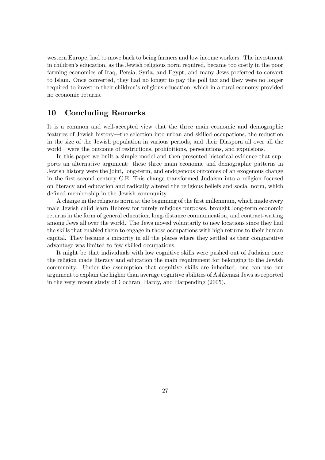western Europe, had to move back to being farmers and low income workers. The investment in children's education, as the Jewish religious norm required, became too costly in the poor farming economies of Iraq, Persia, Syria, and Egypt, and many Jews preferred to convert to Islam. Once converted, they had no longer to pay the poll tax and they were no longer required to invest in their children's religious education, which in a rural economy provided no economic returns.

#### 10 Concluding Remarks

It is a common and well-accepted view that the three main economic and demographic features of Jewish history–the selection into urban and skilled occupations, the reduction in the size of the Jewish population in various periods, and their Diaspora all over all the world–were the outcome of restrictions, prohibitions, persecutions, and expulsions.

In this paper we built a simple model and then presented historical evidence that supports an alternative argument: these three main economic and demographic patterns in Jewish history were the joint, long-term, and endogenous outcomes of an exogenous change in the first-second century C.E. This change transformed Judaism into a religion focused on literacy and education and radically altered the religious beliefs and social norm, which defined membership in the Jewish community.

A change in the religious norm at the beginning of the first millennium, which made every male Jewish child learn Hebrew for purely religious purposes, brought long-term economic returns in the form of general education, long-distance communication, and contract-writing among Jews all over the world. The Jews moved voluntarily to new locations since they had the skills that enabled them to engage in those occupations with high returns to their human capital. They became a minority in all the places where they settled as their comparative advantage was limited to few skilled occupations.

It might be that individuals with low cognitive skills were pushed out of Judaism once the religion made literacy and education the main requirement for belonging to the Jewish community. Under the assumption that cognitive skills are inherited, one can use our argument to explain the higher than average cognitive abilities of Ashkenazi Jews as reported in the very recent study of Cochran, Hardy, and Harpending (2005).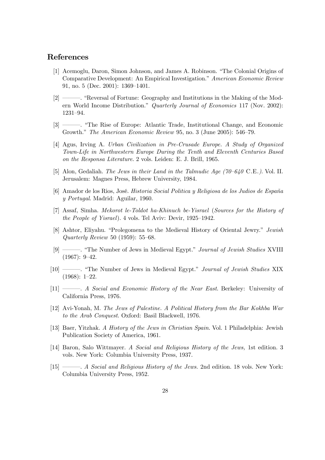#### References

- [1] Acemoglu, Daron, Simon Johnson, and James A. Robinson. "The Colonial Origins of Comparative Development: An Empirical Investigation." American Economic Review 91, no. 5 (Dec. 2001): 1369—1401.
- [2] –––. "Reversal of Fortune: Geography and Institutions in the Making of the Modern World Income Distribution." Quarterly Journal of Economics 117 (Nov. 2002): 1231—94.
- [3] –––. "The Rise of Europe: Atlantic Trade, Institutional Change, and Economic Growth." The American Economic Review 95, no. 3 (June 2005): 546—79.
- [4] Agus, Irving A. Urban Civilization in Pre-Crusade Europe. A Study of Organized Town-Life in Northwestern Europe During the Tenth and Eleventh Centuries Based on the Responsa Literature. 2 vols. Leiden: E. J. Brill, 1965.
- [5] Alon, Gedaliah. The Jews in their Land in the Talmudic Age (70—640 C.E.). Vol. II. Jerusalem: Magnes Press, Hebrew University, 1984.
- [6] Amador de los Rios, José. Historia Social Politica y Religiosa de los Judios de España y Portugal. Madrid: Aguilar, 1960.
- [7] Assaf, Simha. Mekorot le-Toldot ha-Khinuch be-Yisrael (Sources for the History of the People of Yisrael). 4 vols. Tel Aviv: Devir, 1925—1942.
- [8] Ashtor, Eliyahu. "Prolegomena to the Medieval History of Oriental Jewry." Jewish Quarterly Review 50 (1959): 55—68.
- [9] –––. "The Number of Jews in Medieval Egypt." Journal of Jewish Studies XVIII (1967): 9—42.
- [10] –––. "The Number of Jews in Medieval Egypt." Journal of Jewish Studies XIX (1968): 1—22.
- [11] –––. A Social and Economic History of the Near East. Berkeley: University of California Press, 1976.
- [12] Avi-Yonah, M. The Jews of Palestine. A Political History from the Bar Kokhba War to the Arab Conquest. Oxford: Basil Blackwell, 1976.
- [13] Baer, Yitzhak. A History of the Jews in Christian Spain. Vol. 1 Philadelphia: Jewish Publication Society of America, 1961.
- [14] Baron, Salo Wittmayer. A Social and Religious History of the Jews, 1st edition. 3 vols. New York: Columbia University Press, 1937.
- [15] ———. A Social and Religious History of the Jews. 2nd edition. 18 vols. New York: Columbia University Press, 1952.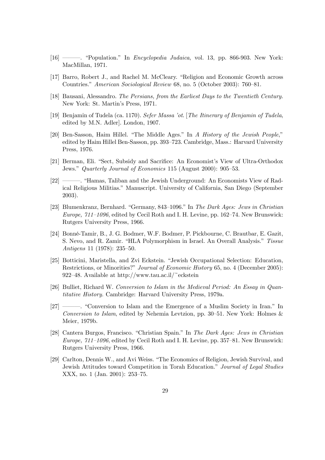- [16] –––. "Population." In Encyclopedia Judaica, vol. 13, pp. 866-903. New York: MacMillan, 1971.
- [17] Barro, Robert J., and Rachel M. McCleary. "Religion and Economic Growth across Countries." American Sociological Review 68, no. 5 (October 2003): 760—81.
- [18] Bausani, Alessandro. The Persians, from the Earliest Days to the Twentieth Century. New York: St. Martin's Press, 1971.
- [19] Benjamin of Tudela (ca. 1170). Sefer Massa 'ot. [The Itinerary of Benjamin of Tudela, edited by M.N. Adler]. London, 1907.
- [20] Ben-Sasson, Haim Hillel. "The Middle Ages." In A History of the Jewish People," edited by Haim Hillel Ben-Sasson, pp. 393—723. Cambridge, Mass.: Harvard University Press, 1976.
- [21] Berman, Eli. "Sect, Subsidy and Sacrifice: An Economist's View of Ultra-Orthodox Jews." Quarterly Journal of Economics 115 (August 2000): 905—53.
- [22] –––. "Hamas, Taliban and the Jewish Underground: An Economists View of Radical Religious Militias." Manuscript. University of California, San Diego (September 2003).
- [23] Blumenkranz, Bernhard. "Germany, 843—1096." In The Dark Ages: Jews in Christian Europe, 711—1096, edited by Cecil Roth and I. H. Levine, pp. 162—74. New Brunswick: Rutgers University Press, 1966.
- [24] Bonné-Tamir, B., J. G. Bodmer, W.F. Bodmer, P. Pickbourne, C. Brautbar, E. Gazit, S. Nevo, and R. Zamir. "HLA Polymorphism in Israel. An Overall Analysis." Tissue Antigens 11 (1978): 235—50.
- [25] Botticini, Maristella, and Zvi Eckstein. "Jewish Occupational Selection: Education, Restrictions, or Minorities?" Journal of Economic History 65, no. 4 (December 2005): 922–48. Available at http://www.tau.ac.il/~eckstein
- [26] Bulliet, Richard W. Conversion to Islam in the Medieval Period: An Essay in Quantitative History. Cambridge: Harvard University Press, 1979a.
- [27] –––. "Conversion to Islam and the Emergence of a Muslim Society in Iran." In Conversion to Islam, edited by Nehemia Levtzion, pp. 30—51. New York: Holmes & Meier, 1979b.
- [28] Cantera Burgos, Francisco. "Christian Spain." In The Dark Ages: Jews in Christian Europe, 711—1096, edited by Cecil Roth and I. H. Levine, pp. 357—81. New Brunswick: Rutgers University Press, 1966.
- [29] Carlton, Dennis W., and Avi Weiss. "The Economics of Religion, Jewish Survival, and Jewish Attitudes toward Competition in Torah Education." Journal of Legal Studies XXX, no. 1 (Jan. 2001): 253—75.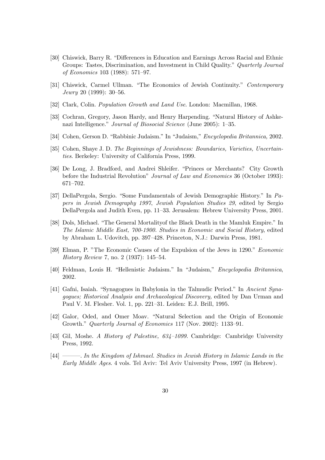- [30] Chiswick, Barry R. "Differences in Education and Earnings Across Racial and Ethnic Groups: Tastes, Discrimination, and Investment in Child Quality." Quarterly Journal of Economics 103 (1988): 571—97.
- [31] Chiswick, Carmel Ullman. "The Economics of Jewish Continuity." Contemporary Jewry 20 (1999): 30—56.
- [32] Clark, Colin. *Population Growth and Land Use*. London: Macmillan, 1968.
- [33] Cochran, Gregory, Jason Hardy, and Henry Harpending. "Natural History of Ashkenazi Intelligence." Journal of Biosocial Science (June 2005): 1—35.
- [34] Cohen, Gerson D. "Rabbinic Judaism." In "Judaism," Encyclopedia Britannica, 2002.
- [35] Cohen, Shaye J. D. The Beginnings of Jewishness: Boundaries, Varieties, Uncertainties. Berkeley: University of California Press, 1999.
- [36] De Long, J. Bradford, and Andrei Shleifer. "Princes or Merchants? City Growth before the Industrial Revolution" Journal of Law and Economics 36 (October 1993): 671—702.
- [37] DellaPergola, Sergio. "Some Fundamentals of Jewish Demographic History." In Papers in Jewish Demography 1997, Jewish Population Studies 29, edited by Sergio DellaPergola and Judith Even, pp. 11—33. Jerusalem: Hebrew University Press, 2001.
- [38] Dols, Michael. "The General Mortalityof the Black Death in the Mamluk Empire." In The Islamic Middle East, 700-1900. Studies in Economic and Social History, edited by Abraham L. Udovitch, pp. 397—428. Princeton, N.J.: Darwin Press, 1981.
- [39] Elman, P. "The Economic Causes of the Expulsion of the Jews in 1290." Economic History Review 7, no. 2 (1937): 145—54.
- [40] Feldman, Louis H. "Hellenistic Judaism." In "Judaism," Encyclopedia Britannica, 2002.
- [41] Gafni, Isaiah. "Synagogues in Babylonia in the Talmudic Period." In Ancient Synagogues; Historical Analysis and Archaeological Discovery, edited by Dan Urman and Paul V. M. Flesher. Vol. 1, pp. 221—31. Leiden: E.J. Brill, 1995.
- [42] Galor, Oded, and Omer Moav. "Natural Selection and the Origin of Economic Growth." Quarterly Journal of Economics 117 (Nov. 2002): 1133—91.
- [43] Gil, Moshe. A History of Palestine, 634—1099. Cambridge: Cambridge University Press, 1992.
- [44] ––––. In the Kingdom of Ishmael. Studies in Jewish History in Islamic Lands in the Early Middle Ages. 4 vols. Tel Aviv: Tel Aviv University Press, 1997 (in Hebrew).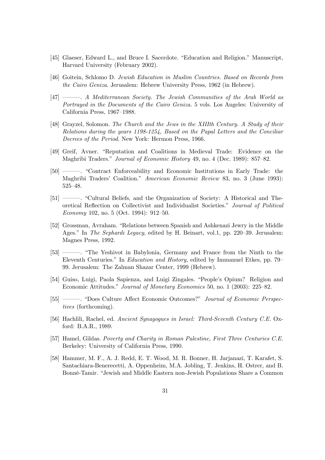- [45] Glaeser, Edward L., and Bruce I. Sacerdote. "Education and Religion." Manuscript, Harvard University (February 2002).
- [46] Goitein, Schlomo D. Jewish Education in Muslim Countries. Based on Records from the Cairo Geniza. Jerusalem: Hebrew University Press, 1962 (in Hebrew).
- [47] –––. A Mediterranean Society. The Jewish Communities of the Arab World as Portrayed in the Documents of the Cairo Geniza. 5 vols. Los Angeles: University of California Press, 1967—1988.
- [48] Grayzel, Solomon. The Church and the Jews in the XIIIth Century. A Study of their Relations during the years 1198-1254, Based on the Papal Letters and the Conciliar Decrees of the Period. New York: Hermon Press, 1966.
- [49] Greif, Avner. "Reputation and Coalitions in Medieval Trade: Evidence on the Maghribi Traders." Journal of Economic History 49, no. 4 (Dec. 1989): 857—82.
- [50] –––. "Contract Enforceability and Economic Institutions in Early Trade: the Maghribi Traders' Coalition." American Economic Review 83, no. 3 (June 1993): 525—48.
- [51] –––. "Cultural Beliefs, and the Organization of Society: A Historical and Theoretical Reflection on Collectivist and Individualist Societies." Journal of Political Economy 102, no. 5 (Oct. 1994): 912—50.
- [52] Grossman, Avraham. "Relations between Spanish and Ashkenazi Jewry in the Middle Ages." In The Sephardi Legacy, edited by H. Beinart, vol.1, pp. 220–39. Jerusalem: Magnes Press, 1992.
- [53] –––. "The Yeshivot in Babylonia, Germany and France from the Ninth to the Eleventh Centuries." In Education and History, edited by Immanuel Etkes, pp. 79— 99. Jerusalem: The Zalman Shazar Center, 1999 (Hebrew).
- [54] Guiso, Luigi, Paola Sapienza, and Luigi Zingales. "People's Opium? Religion and Economic Attitudes." Journal of Monetary Economics 50, no. 1 (2003): 225—82.
- [55] –––. "Does Culture Affect Economic Outcomes?" Journal of Economic Perspectives (forthcoming).
- [56] Hachlili, Rachel, ed. Ancient Synagogues in Israel: Third-Seventh Century C.E. Oxford: B.A.R., 1989.
- [57] Hamel, Gildas. Poverty and Charity in Roman Palestine, First Three Centuries C.E. Berkeley: University of California Press, 1990.
- [58] Hammer, M. F., A. J. Redd, E. T. Wood, M. R. Bonner, H. Jarjanazi, T. Karafet, S. Santachiara-Benerecetti, A. Oppenheim, M.A. Jobling, T. Jenkins, H. Ostrer, and B. Bonné-Tamir. "Jewish and Middle Eastern non-Jewish Populations Share a Common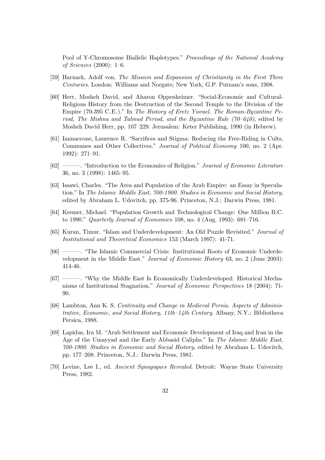Pool of Y-Chromosome Biallelic Haplotypes." Proceedings of the National Academy of Sciences (2000): 1—6.

- [59] Harnack, Adolf von. The Mission and Expansion of Christianity in the First Three Centuries. London: Williams and Norgate; New York, G.P. Putnam's sons, 1908.
- [60] Herr, Mosheh David, and Aharon Oppenheimer. "Social-Economic and Cultural-Religious History from the Destruction of the Second Temple to the Division of the Empire (70-395 C.E.)." In The History of Eretz Yisrael. The Roman-Byzantine Period, The Mishna and Talmud Period, and the Byzantine Rule  $(70-640)$ , edited by Mosheh David Herr, pp. 107—229. Jerusalem: Keter Publishing, 1990 (in Hebrew).
- [61] Iannaccone, Laurence R. "Sacrifices and Stigma: Reducing the Free-Riding in Cults, Communes and Other Collectives." Journal of Political Economy 100, no. 2 (Apr. 1992): 271—91.
- [62] ––––. "Introduction to the Economics of Religion." Journal of Economic Literature 36, no. 3 (1998): 1465—95.
- [63] Issawi, Charles. "The Area and Population of the Arab Empire: an Essay in Speculation." In The Islamic Middle East, 700-1900. Studies in Economic and Social History, edited by Abraham L. Udovitch, pp. 375-96. Princeton, N.J.: Darwin Press, 1981.
- [64] Kremer, Michael. "Population Growth and Technological Change: One Million B.C. to 1990." Quarterly Journal of Economics 108, no. 4 (Aug. 1993): 681—716.
- [65] Kuran, Timur. "Islam and Underdevelopment: An Old Puzzle Revisited." Journal of Institutional and Theoretical Economics 153 (March 1997): 41-71.
- [66] –––. "The Islamic Commercial Crisis: Institutional Roots of Economic Underdevelopment in the Middle East." Journal of Economic History 63, no. 2 (June 2003): 414-46.
- [67] –––. "Why the Middle East Is Economically Underdeveloped: Historical Mechanisms of Institutional Stagnation." Journal of Economic Perspectives 18 (2004): 71- 90.
- [68] Lambton, Ann K. S. Continuity and Change in Medieval Persia. Aspects of Administrative, Economic, and Social History, 11th—14th Century. Albany, N.Y.: Bibliotheca Persica, 1988.
- [69] Lapidus, Ira M. "Arab Settlement and Economic Development of Iraq and Iran in the Age of the Umayyad and the Early Abbasid Caliphs." In The Islamic Middle East, 700-1900. Studies in Economic and Social History, edited by Abraham L. Udovitch, pp. 177—208. Princeton, N.J.: Darwin Press, 1981.
- [70] Levine, Lee I., ed. Ancient Synagogues Revealed. Detroit: Wayne State University Press, 1982.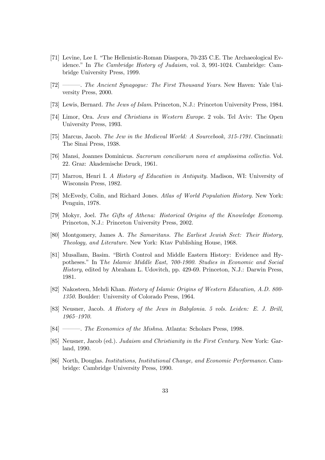- [71] Levine, Lee I. "The Hellenistic-Roman Diaspora, 70-235 C.E. The Archaeological Evidence." In The Cambridge History of Judaism, vol. 3, 991-1024. Cambridge: Cambridge University Press, 1999.
- [72] –––. The Ancient Synagogue: The First Thousand Years. New Haven: Yale University Press, 2000.
- [73] Lewis, Bernard. The Jews of Islam. Princeton, N.J.: Princeton University Press, 1984.
- [74] Limor, Ora. Jews and Christians in Western Europe. 2 vols. Tel Aviv: The Open University Press, 1993.
- [75] Marcus, Jacob. The Jew in the Medieval World: A Sourcebook, 315-1791. Cincinnati: The Sinai Press, 1938.
- [76] Mansi, Joannes Dominicus. Sacrorum conciliorum nova et amplissima collectio. Vol. 22. Graz: Akademische Druck, 1961.
- [77] Marrou, Henri I. A History of Education in Antiquity. Madison, WI: University of Wisconsin Press, 1982.
- [78] McEvedy, Colin, and Richard Jones. Atlas of World Population History. New York: Penguin, 1978.
- [79] Mokyr, Joel. The Gifts of Athena: Historical Origins of the Knowledge Economy. Princeton, N.J.: Princeton University Press, 2002.
- [80] Montgomery, James A. The Samaritans. The Earliest Jewish Sect: Their History, Theology, and Literature. New York: Ktav Publishing House, 1968.
- [81] Musallam, Basim. "Birth Control and Middle Eastern History: Evidence and Hypotheses." In The Islamic Middle East, 700-1900. Studies in Economic and Social History, edited by Abraham L. Udovitch, pp. 429-69. Princeton, N.J.: Darwin Press, 1981.
- [82] Nakosteen, Mehdi Khan. History of Islamic Origins of Western Education, A.D. 800- 1350. Boulder: University of Colorado Press, 1964.
- [83] Neusner, Jacob. A History of the Jews in Babylonia. 5 vols. Leiden: E. J. Brill, 1965—1970.
- [84] ––––. The Economics of the Mishna. Atlanta: Scholars Press, 1998.
- [85] Neusner, Jacob (ed.). Judaism and Christianity in the First Century. New York: Garland, 1990.
- [86] North, Douglas. Institutions, Institutional Change, and Economic Performance. Cambridge: Cambridge University Press, 1990.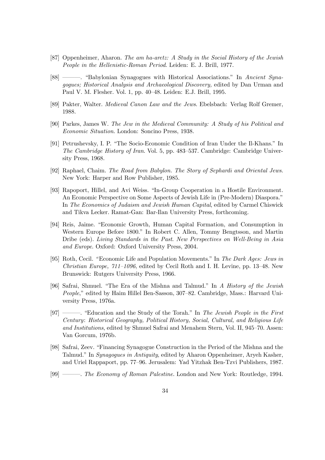- [87] Oppenheimer, Aharon. The am ha-aretz: A Study in the Social History of the Jewish People in the Hellenistic-Roman Period. Leiden: E. J. Brill, 1977.
- [88] ––––. "Babylonian Synagogues with Historical Associations." In Ancient Synagogues; Historical Analysis and Archaeological Discovery, edited by Dan Urman and Paul V. M. Flesher. Vol. 1, pp. 40—48. Leiden: E.J. Brill, 1995.
- [89] Pakter, Walter. Medieval Canon Law and the Jews. Ebelsbach: Verlag Rolf Gremer, 1988.
- [90] Parkes, James W. The Jew in the Medieval Community: A Study of his Political and Economic Situation. London: Soncino Press, 1938.
- [91] Petrushevsky, I. P. "The Socio-Economic Condition of Iran Under the Il-Khans." In The Cambridge History of Iran. Vol. 5, pp. 483—537. Cambridge: Cambridge University Press, 1968.
- [92] Raphael, Chaim. The Road from Babylon. The Story of Sephardi and Oriental Jews. New York: Harper and Row Publisher, 1985.
- [93] Rapoport, Hillel, and Avi Weiss. "In-Group Cooperation in a Hostile Environment. An Economic Perspective on Some Aspects of Jewish Life in (Pre-Modern) Diaspora." In The Economics of Judaism and Jewish Human Capital, edited by Carmel Chiswick and Tikva Lecker. Ramat-Gan: Bar-Ilan University Press, forthcoming.
- [94] Reis, Jaime. "Economic Growth, Human Capital Formation, and Consumption in Western Europe Before 1800." In Robert C. Allen, Tommy Bengtsson, and Martin Dribe (eds). Living Standards in the Past. New Perspectives on Well-Being in Asia and Europe. Oxford: Oxford University Press, 2004.
- [95] Roth, Cecil. "Economic Life and Population Movements." In The Dark Ages: Jews in *Christian Europe,*  $711-1096$ *,* edited by Cecil Roth and I. H. Levine, pp. 13–48. New Brunswick: Rutgers University Press, 1966.
- [96] Safrai, Shmuel. "The Era of the Mishna and Talmud." In A History of the Jewish People," edited by Haim Hillel Ben-Sasson, 307—82. Cambridge, Mass.: Harvard University Press, 1976a.
- [97] ———. "Education and the Study of the Torah." In The Jewish People in the First Century: Historical Geography, Political History, Social, Cultural, and Religious Life and Institutions, edited by Shmuel Safrai and Menahem Stern, Vol. II, 945—70. Assen: Van Gorcum, 1976b.
- [98] Safrai, Zeev. "Financing Synagogue Construction in the Period of the Mishna and the Talmud." In Synagogues in Antiquity, edited by Aharon Oppenheimer, Aryeh Kasher, and Uriel Rappaport, pp. 77—96. Jerusalem: Yad Yitzhak Ben-Tzvi Publishers, 1987.
- [99] –––. The Economy of Roman Palestine. London and New York: Routledge, 1994.